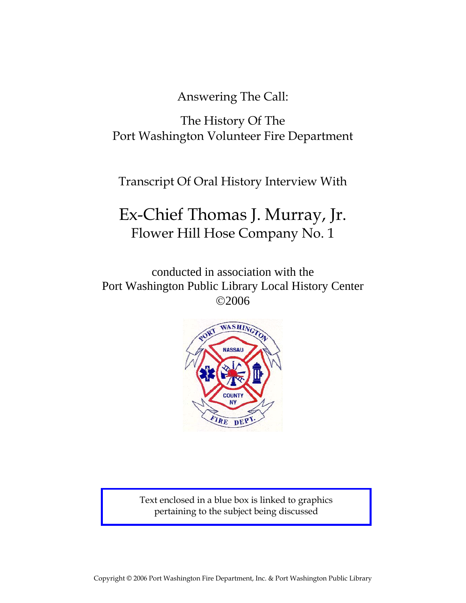Answering The Call:

The History Of The Port Washington Volunteer Fire Department

Transcript Of Oral History Interview With

## Ex-Chief Thomas J. Murray, Jr. Flower Hill Hose Company No. 1

conducted in association with the Port Washington Public Library Local History Center ©2006



Text enclosed in a blue box is linked to graphics pertaining to the subject being discussed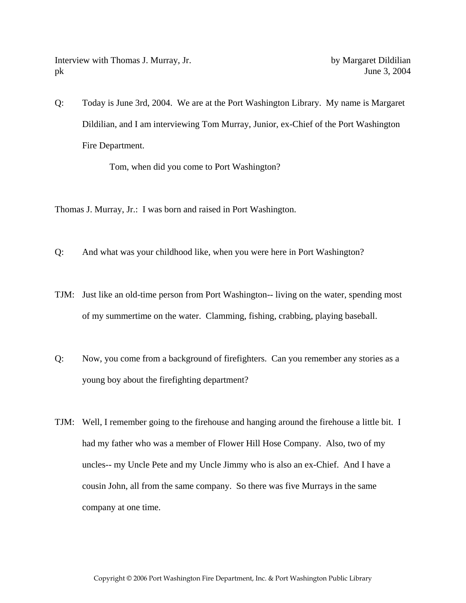Interview with Thomas J. Murray, Jr. by Margaret Dildilian pk June 3, 2004

Q: Today is June 3rd, 2004. We are at the Port Washington Library. My name is Margaret Dildilian, and I am interviewing Tom Murray, Junior, ex-Chief of the Port Washington Fire Department.

Tom, when did you come to Port Washington?

Thomas J. Murray, Jr.: I was born and raised in Port Washington.

- Q: And what was your childhood like, when you were here in Port Washington?
- TJM: Just like an old-time person from Port Washington-- living on the water, spending most of my summertime on the water. Clamming, fishing, crabbing, playing baseball.
- Q: Now, you come from a background of firefighters. Can you remember any stories as a young boy about the firefighting department?
- TJM: Well, I remember going to the firehouse and hanging around the firehouse a little bit. I had my father who was a member of Flower Hill Hose Company. Also, two of my uncles-- my Uncle Pete and my Uncle Jimmy who is also an ex-Chief. And I have a cousin John, all from the same company. So there was five Murrays in the same company at one time.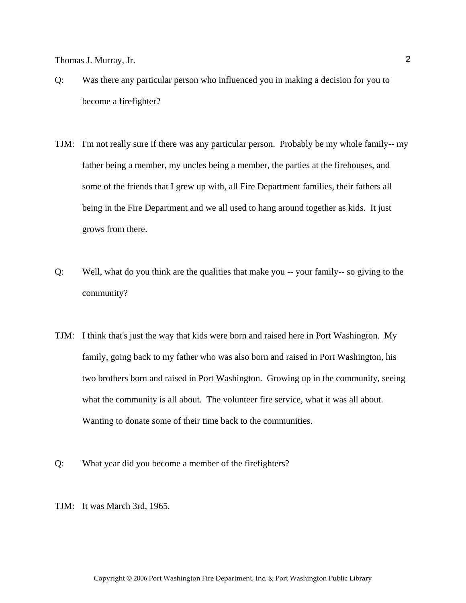- Q: Was there any particular person who influenced you in making a decision for you to become a firefighter?
- TJM: I'm not really sure if there was any particular person. Probably be my whole family-- my father being a member, my uncles being a member, the parties at the firehouses, and some of the friends that I grew up with, all Fire Department families, their fathers all being in the Fire Department and we all used to hang around together as kids. It just grows from there.
- Q: Well, what do you think are the qualities that make you -- your family-- so giving to the community?
- TJM: I think that's just the way that kids were born and raised here in Port Washington. My family, going back to my father who was also born and raised in Port Washington, his two brothers born and raised in Port Washington. Growing up in the community, seeing what the community is all about. The volunteer fire service, what it was all about. Wanting to donate some of their time back to the communities.
- Q: What year did you become a member of the firefighters?

TJM: It was March 3rd, 1965.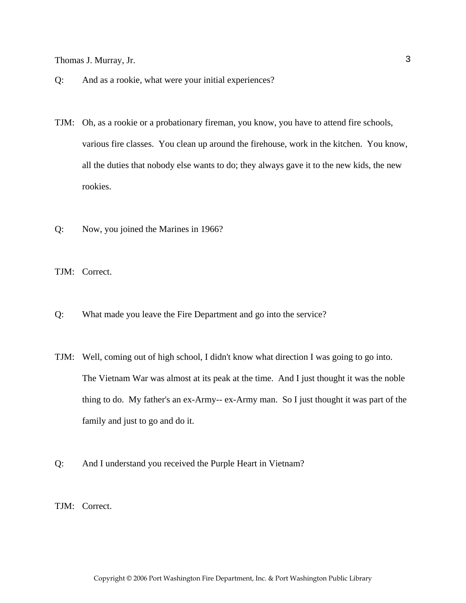- Q: And as a rookie, what were your initial experiences?
- TJM: Oh, as a rookie or a probationary fireman, you know, you have to attend fire schools, various fire classes. You clean up around the firehouse, work in the kitchen. You know, all the duties that nobody else wants to do; they always gave it to the new kids, the new rookies.
- Q: Now, you joined the Marines in 1966?

TJM: Correct.

- Q: What made you leave the Fire Department and go into the service?
- TJM: Well, coming out of high school, I didn't know what direction I was going to go into. The Vietnam War was almost at its peak at the time. And I just thought it was the noble thing to do. My father's an ex-Army-- ex-Army man. So I just thought it was part of the family and just to go and do it.
- Q: And I understand you received the Purple Heart in Vietnam?

TJM: Correct.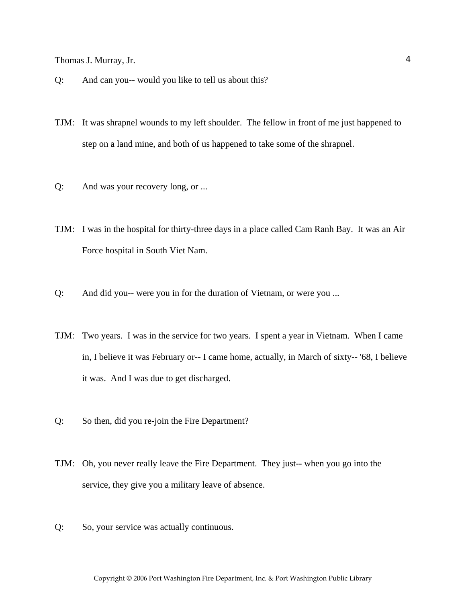- Q: And can you-- would you like to tell us about this?
- TJM: It was shrapnel wounds to my left shoulder. The fellow in front of me just happened to step on a land mine, and both of us happened to take some of the shrapnel.
- Q: And was your recovery long, or ...
- TJM: I was in the hospital for thirty-three days in a place called Cam Ranh Bay. It was an Air Force hospital in South Viet Nam.
- Q: And did you-- were you in for the duration of Vietnam, or were you ...
- TJM: Two years. I was in the service for two years. I spent a year in Vietnam. When I came in, I believe it was February or-- I came home, actually, in March of sixty-- '68, I believe it was. And I was due to get discharged.
- Q: So then, did you re-join the Fire Department?
- TJM: Oh, you never really leave the Fire Department. They just-- when you go into the service, they give you a military leave of absence.
- Q: So, your service was actually continuous.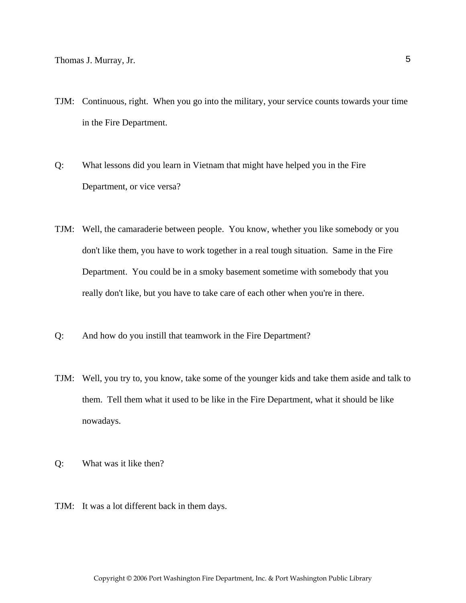- TJM: Continuous, right. When you go into the military, your service counts towards your time in the Fire Department.
- Q: What lessons did you learn in Vietnam that might have helped you in the Fire Department, or vice versa?
- TJM: Well, the camaraderie between people. You know, whether you like somebody or you don't like them, you have to work together in a real tough situation. Same in the Fire Department. You could be in a smoky basement sometime with somebody that you really don't like, but you have to take care of each other when you're in there.
- Q: And how do you instill that teamwork in the Fire Department?
- TJM: Well, you try to, you know, take some of the younger kids and take them aside and talk to them. Tell them what it used to be like in the Fire Department, what it should be like nowadays.
- Q: What was it like then?
- TJM: It was a lot different back in them days.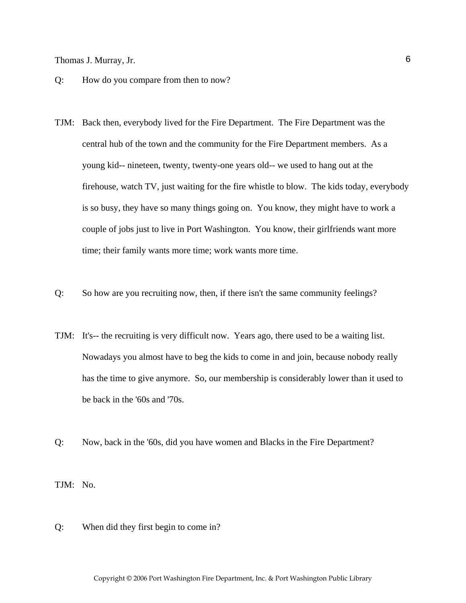- Q: How do you compare from then to now?
- TJM: Back then, everybody lived for the Fire Department. The Fire Department was the central hub of the town and the community for the Fire Department members. As a young kid-- nineteen, twenty, twenty-one years old-- we used to hang out at the firehouse, watch TV, just waiting for the fire whistle to blow. The kids today, everybody is so busy, they have so many things going on. You know, they might have to work a couple of jobs just to live in Port Washington. You know, their girlfriends want more time; their family wants more time; work wants more time.
- Q: So how are you recruiting now, then, if there isn't the same community feelings?
- TJM: It's-- the recruiting is very difficult now. Years ago, there used to be a waiting list. Nowadays you almost have to beg the kids to come in and join, because nobody really has the time to give anymore. So, our membership is considerably lower than it used to be back in the '60s and '70s.
- Q: Now, back in the '60s, did you have women and Blacks in the Fire Department?

TJM: No.

Q: When did they first begin to come in?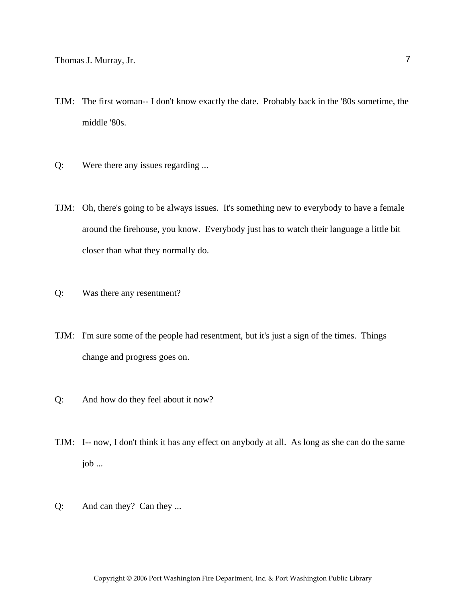- TJM: The first woman-- I don't know exactly the date. Probably back in the '80s sometime, the middle '80s.
- Q: Were there any issues regarding ...
- TJM: Oh, there's going to be always issues. It's something new to everybody to have a female around the firehouse, you know. Everybody just has to watch their language a little bit closer than what they normally do.
- Q: Was there any resentment?
- TJM: I'm sure some of the people had resentment, but it's just a sign of the times. Things change and progress goes on.
- Q: And how do they feel about it now?
- TJM: I-- now, I don't think it has any effect on anybody at all. As long as she can do the same job ...
- Q: And can they? Can they ...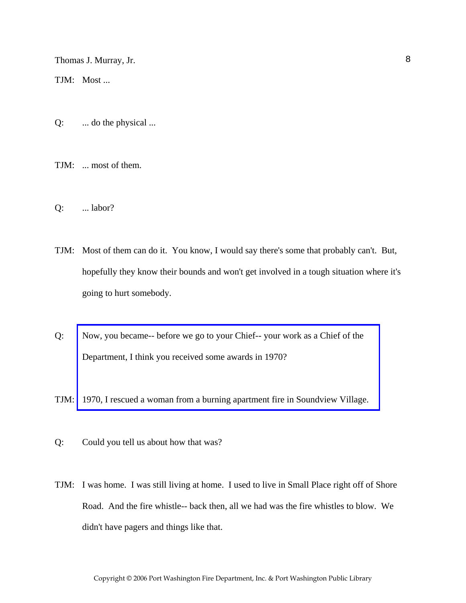TJM: Most ...

Q: ... do the physical ...

TJM: ... most of them.

- Q: ... labor?
- TJM: Most of them can do it. You know, I would say there's some that probably can't. But, hopefully they know their bounds and won't get involved in a tough situation where it's going to hurt somebody.
- Q: Now, you became-- before we go to your Chief-- your work as a Chief of the Department, I think you received some awards in 1970?
- TJM: [1970, I rescued a woman from a burning apartment fire in Soundview Village.](http://www.pwfdhistory.com/trans/murrayt_trans/news_cocks350a_web.jpg)
- Q: Could you tell us about how that was?
- TJM: I was home. I was still living at home. I used to live in Small Place right off of Shore Road. And the fire whistle-- back then, all we had was the fire whistles to blow. We didn't have pagers and things like that.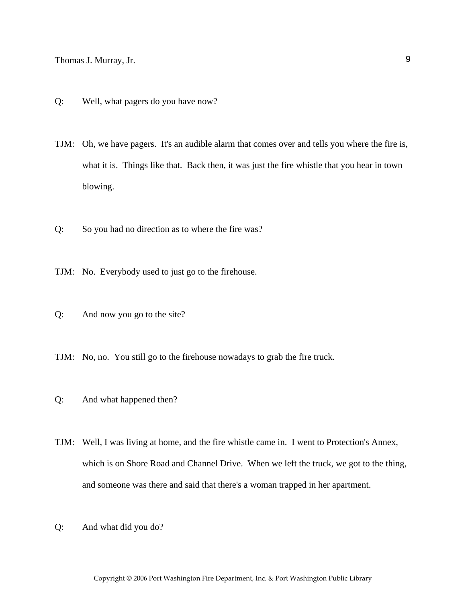- Q: Well, what pagers do you have now?
- TJM: Oh, we have pagers. It's an audible alarm that comes over and tells you where the fire is, what it is. Things like that. Back then, it was just the fire whistle that you hear in town blowing.
- Q: So you had no direction as to where the fire was?
- TJM: No. Everybody used to just go to the firehouse.
- Q: And now you go to the site?
- TJM: No, no. You still go to the firehouse nowadays to grab the fire truck.
- Q: And what happened then?
- TJM: Well, I was living at home, and the fire whistle came in. I went to Protection's Annex, which is on Shore Road and Channel Drive. When we left the truck, we got to the thing, and someone was there and said that there's a woman trapped in her apartment.
- Q: And what did you do?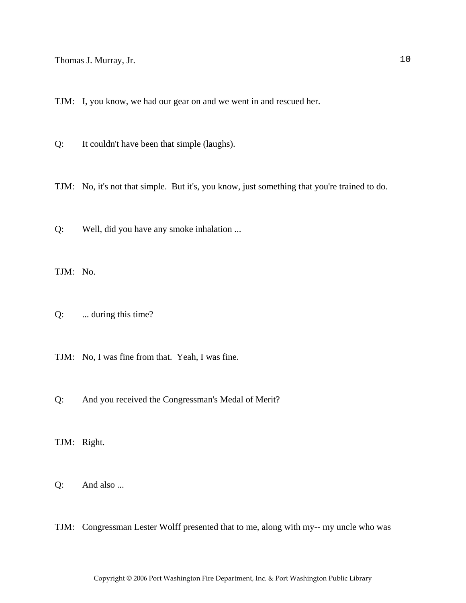TJM: I, you know, we had our gear on and we went in and rescued her.

Q: It couldn't have been that simple (laughs).

TJM: No, it's not that simple. But it's, you know, just something that you're trained to do.

Q: Well, did you have any smoke inhalation ...

TJM: No.

Q: ... during this time?

TJM: No, I was fine from that. Yeah, I was fine.

Q: And you received the Congressman's Medal of Merit?

TJM: Right.

Q: And also ...

TJM: Congressman Lester Wolff presented that to me, along with my-- my uncle who was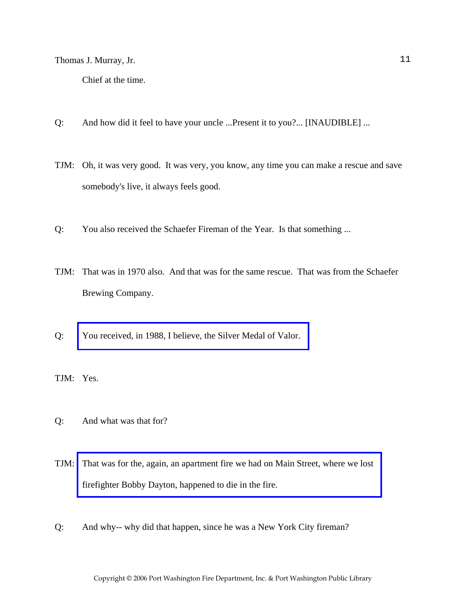Chief at the time.

- Q: And how did it feel to have your uncle ...Present it to you?... [INAUDIBLE] ...
- TJM: Oh, it was very good. It was very, you know, any time you can make a rescue and save somebody's live, it always feels good.
- Q: You also received the Schaefer Fireman of the Year. Is that something ...
- TJM: That was in 1970 also. And that was for the same rescue. That was from the Schaefer Brewing Company.
- Q: [You received, in 1988, I believe, the Silver Medal of Valor.](http://www.pwfdhistory.com/trans/murrayt_trans/scrapbk084_pz_web.pdf)

TJM: Yes.

- Q: And what was that for?
- TJM: [That was for the, again, an apartment fire we had on Main Street, where we lost](http://www.pwfdhistory.com/trans/murrayt_trans/pnews881128_web.pdf)  firefighter Bobby Dayton, happened to die in the fire.
- Q: And why-- why did that happen, since he was a New York City fireman?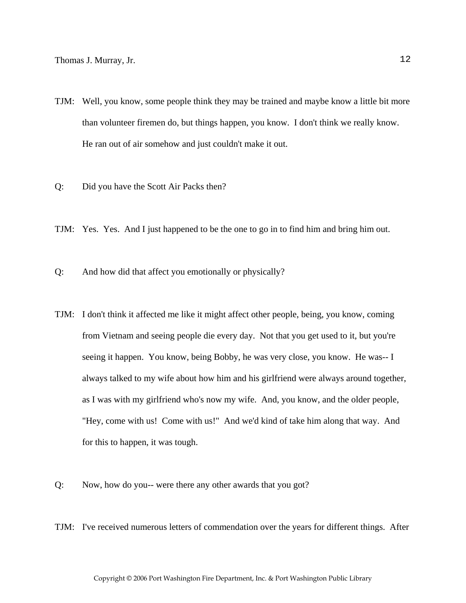- TJM: Well, you know, some people think they may be trained and maybe know a little bit more than volunteer firemen do, but things happen, you know. I don't think we really know. He ran out of air somehow and just couldn't make it out.
- Q: Did you have the Scott Air Packs then?
- TJM: Yes. Yes. And I just happened to be the one to go in to find him and bring him out.
- Q: And how did that affect you emotionally or physically?
- TJM: I don't think it affected me like it might affect other people, being, you know, coming from Vietnam and seeing people die every day. Not that you get used to it, but you're seeing it happen. You know, being Bobby, he was very close, you know. He was-- I always talked to my wife about how him and his girlfriend were always around together, as I was with my girlfriend who's now my wife. And, you know, and the older people, "Hey, come with us! Come with us!" And we'd kind of take him along that way. And for this to happen, it was tough.
- Q: Now, how do you-- were there any other awards that you got?
- TJM: I've received numerous letters of commendation over the years for different things. After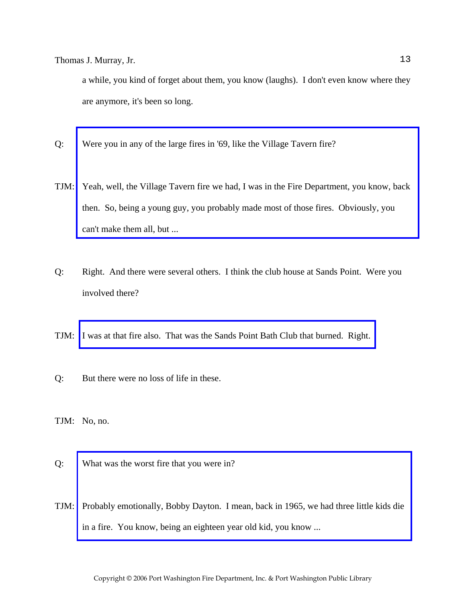a while, you kind of forget about them, you know (laughs). I don't even know where they are anymore, it's been so long.

- Q: Were you in any of the large fires in '69, like the Village Tavern fire?
- TJM: [Yeah, well, the Village Tavern fire we had, I was in the Fire Department, you know, back](http://www.pwfdhistory.com/trans/murrayt_trans/news_cocks126a_web.jpg)  then. So, being a young guy, you probably made most of those fires. Obviously, you can't make them all, but ...
- Q: Right. And there were several others. I think the club house at Sands Point. Were you involved there?
- TJM: [I was at that fire also. That was the Sands Point Bath Club that burned. Right.](http://www.pwfdhistory.com/trans/murrayt_trans/nday860319_pz_web.pdf)
- Q: But there were no loss of life in these.

TJM: No, no.

- Q: What was the worst fire that you were in?
- TJM: [Probably emotionally, Bobby Dayton. I mean, back in 1965, we had three little kids die](http://www.pwfdhistory.com/trans/murrayt_trans/pwfd_fires07.pdf)  in a fire. You know, being an eighteen year old kid, you know ...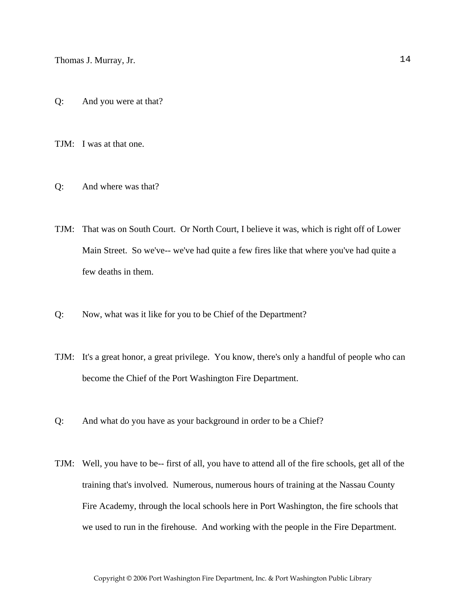Q: And you were at that?

TJM: I was at that one.

Q: And where was that?

TJM: That was on South Court. Or North Court, I believe it was, which is right off of Lower Main Street. So we've-- we've had quite a few fires like that where you've had quite a few deaths in them.

- Q: Now, what was it like for you to be Chief of the Department?
- TJM: It's a great honor, a great privilege. You know, there's only a handful of people who can become the Chief of the Port Washington Fire Department.
- Q: And what do you have as your background in order to be a Chief?
- TJM: Well, you have to be-- first of all, you have to attend all of the fire schools, get all of the training that's involved. Numerous, numerous hours of training at the Nassau County Fire Academy, through the local schools here in Port Washington, the fire schools that we used to run in the firehouse. And working with the people in the Fire Department.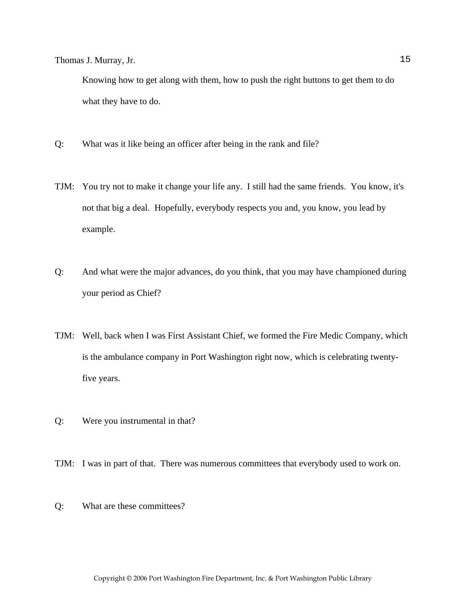Knowing how to get along with them, how to push the right buttons to get them to do what they have to do.

- Q: What was it like being an officer after being in the rank and file?
- TJM: You try not to make it change your life any. I still had the same friends. You know, it's not that big a deal. Hopefully, everybody respects you and, you know, you lead by example.
- Q: And what were the major advances, do you think, that you may have championed during your period as Chief?
- TJM: Well, back when I was First Assistant Chief, we formed the Fire Medic Company, which is the ambulance company in Port Washington right now, which is celebrating twentyfive years.
- Q: Were you instrumental in that?
- TJM: I was in part of that. There was numerous committees that everybody used to work on.
- Q: What are these committees?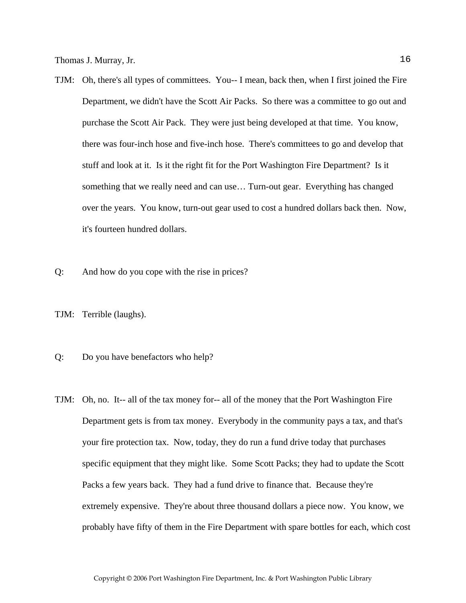- TJM: Oh, there's all types of committees. You-- I mean, back then, when I first joined the Fire Department, we didn't have the Scott Air Packs. So there was a committee to go out and purchase the Scott Air Pack. They were just being developed at that time. You know, there was four-inch hose and five-inch hose. There's committees to go and develop that stuff and look at it. Is it the right fit for the Port Washington Fire Department? Is it something that we really need and can use… Turn-out gear. Everything has changed over the years. You know, turn-out gear used to cost a hundred dollars back then. Now, it's fourteen hundred dollars.
- Q: And how do you cope with the rise in prices?
- TJM: Terrible (laughs).
- Q: Do you have benefactors who help?
- TJM: Oh, no. It-- all of the tax money for-- all of the money that the Port Washington Fire Department gets is from tax money. Everybody in the community pays a tax, and that's your fire protection tax. Now, today, they do run a fund drive today that purchases specific equipment that they might like. Some Scott Packs; they had to update the Scott Packs a few years back. They had a fund drive to finance that. Because they're extremely expensive. They're about three thousand dollars a piece now. You know, we probably have fifty of them in the Fire Department with spare bottles for each, which cost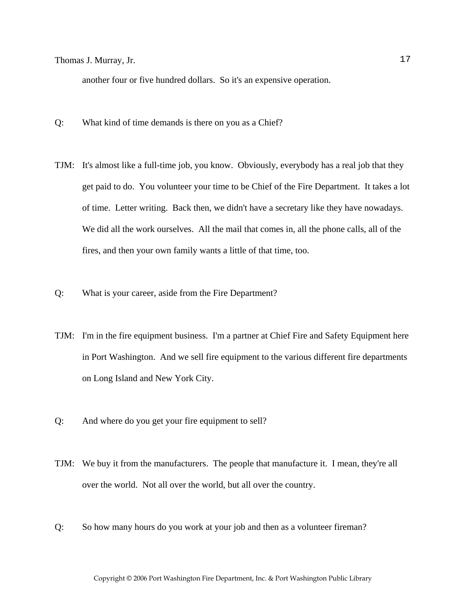another four or five hundred dollars. So it's an expensive operation.

- Q: What kind of time demands is there on you as a Chief?
- TJM: It's almost like a full-time job, you know. Obviously, everybody has a real job that they get paid to do. You volunteer your time to be Chief of the Fire Department. It takes a lot of time. Letter writing. Back then, we didn't have a secretary like they have nowadays. We did all the work ourselves. All the mail that comes in, all the phone calls, all of the fires, and then your own family wants a little of that time, too.
- Q: What is your career, aside from the Fire Department?
- TJM: I'm in the fire equipment business. I'm a partner at Chief Fire and Safety Equipment here in Port Washington. And we sell fire equipment to the various different fire departments on Long Island and New York City.
- Q: And where do you get your fire equipment to sell?
- TJM: We buy it from the manufacturers. The people that manufacture it. I mean, they're all over the world. Not all over the world, but all over the country.
- Q: So how many hours do you work at your job and then as a volunteer fireman?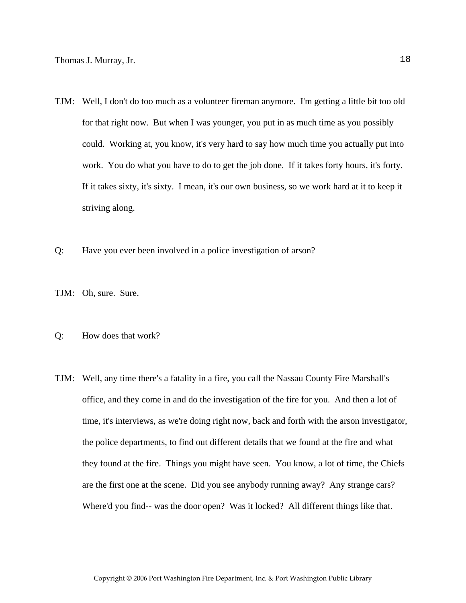- TJM: Well, I don't do too much as a volunteer fireman anymore. I'm getting a little bit too old for that right now. But when I was younger, you put in as much time as you possibly could. Working at, you know, it's very hard to say how much time you actually put into work. You do what you have to do to get the job done. If it takes forty hours, it's forty. If it takes sixty, it's sixty. I mean, it's our own business, so we work hard at it to keep it striving along.
- Q: Have you ever been involved in a police investigation of arson?
- TJM: Oh, sure. Sure.
- Q: How does that work?
- TJM: Well, any time there's a fatality in a fire, you call the Nassau County Fire Marshall's office, and they come in and do the investigation of the fire for you. And then a lot of time, it's interviews, as we're doing right now, back and forth with the arson investigator, the police departments, to find out different details that we found at the fire and what they found at the fire. Things you might have seen. You know, a lot of time, the Chiefs are the first one at the scene. Did you see anybody running away? Any strange cars? Where'd you find-- was the door open? Was it locked? All different things like that.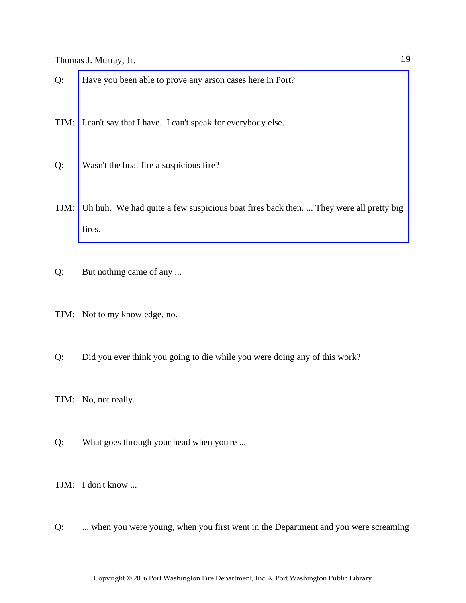Q: Have you been able to prove any arson cases here in Port?

TJM: I can't say that I have. I can't speak for everybody else.

- Q: Wasn't the boat fire a suspicious fire?
- TJM: [Uh huh. We had quite a few suspicious boat fires back then. ... They were all pretty big](http://www.pwfdhistory.com/trans/murrayt_trans/news_cocks252_web.jpg)  fires.
- Q: But nothing came of any ...
- TJM: Not to my knowledge, no.
- Q: Did you ever think you going to die while you were doing any of this work?
- TJM: No, not really.
- Q: What goes through your head when you're ...

TJM: I don't know ...

Q: ... when you were young, when you first went in the Department and you were screaming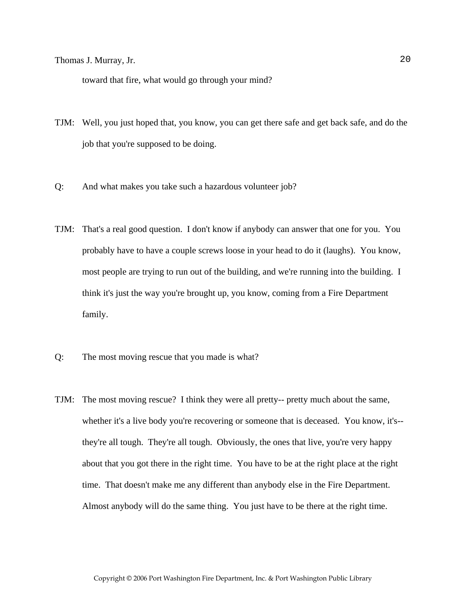toward that fire, what would go through your mind?

- TJM: Well, you just hoped that, you know, you can get there safe and get back safe, and do the job that you're supposed to be doing.
- Q: And what makes you take such a hazardous volunteer job?
- TJM: That's a real good question. I don't know if anybody can answer that one for you. You probably have to have a couple screws loose in your head to do it (laughs). You know, most people are trying to run out of the building, and we're running into the building. I think it's just the way you're brought up, you know, coming from a Fire Department family.
- Q: The most moving rescue that you made is what?
- TJM: The most moving rescue? I think they were all pretty-- pretty much about the same, whether it's a live body you're recovering or someone that is deceased. You know, it's- they're all tough. They're all tough. Obviously, the ones that live, you're very happy about that you got there in the right time. You have to be at the right place at the right time. That doesn't make me any different than anybody else in the Fire Department. Almost anybody will do the same thing. You just have to be there at the right time.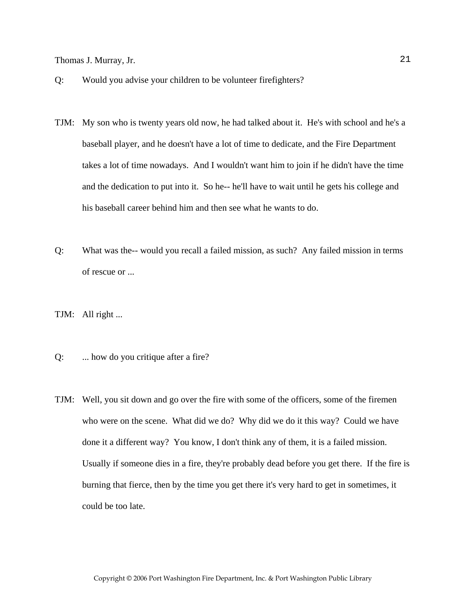- Q: Would you advise your children to be volunteer firefighters?
- TJM: My son who is twenty years old now, he had talked about it. He's with school and he's a baseball player, and he doesn't have a lot of time to dedicate, and the Fire Department takes a lot of time nowadays. And I wouldn't want him to join if he didn't have the time and the dedication to put into it. So he-- he'll have to wait until he gets his college and his baseball career behind him and then see what he wants to do.
- Q: What was the-- would you recall a failed mission, as such? Any failed mission in terms of rescue or ...
- TJM: All right ...
- Q: ... how do you critique after a fire?
- TJM: Well, you sit down and go over the fire with some of the officers, some of the firemen who were on the scene. What did we do? Why did we do it this way? Could we have done it a different way? You know, I don't think any of them, it is a failed mission. Usually if someone dies in a fire, they're probably dead before you get there. If the fire is burning that fierce, then by the time you get there it's very hard to get in sometimes, it could be too late.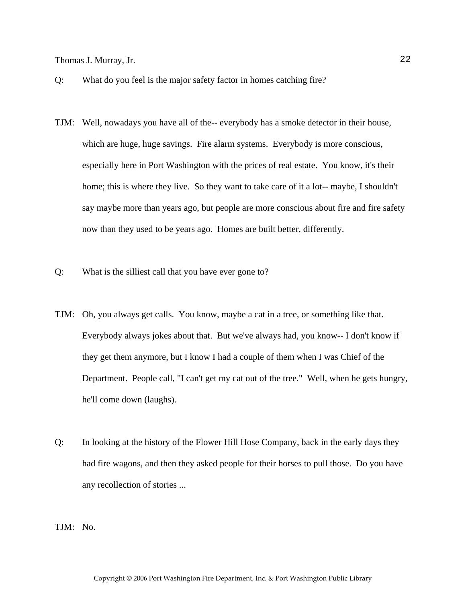- Q: What do you feel is the major safety factor in homes catching fire?
- TJM: Well, nowadays you have all of the-- everybody has a smoke detector in their house, which are huge, huge savings. Fire alarm systems. Everybody is more conscious, especially here in Port Washington with the prices of real estate. You know, it's their home; this is where they live. So they want to take care of it a lot-- maybe, I shouldn't say maybe more than years ago, but people are more conscious about fire and fire safety now than they used to be years ago. Homes are built better, differently.
- Q: What is the silliest call that you have ever gone to?
- TJM: Oh, you always get calls. You know, maybe a cat in a tree, or something like that. Everybody always jokes about that. But we've always had, you know-- I don't know if they get them anymore, but I know I had a couple of them when I was Chief of the Department. People call, "I can't get my cat out of the tree." Well, when he gets hungry, he'll come down (laughs).
- Q: In looking at the history of the Flower Hill Hose Company, back in the early days they had fire wagons, and then they asked people for their horses to pull those. Do you have any recollection of stories ...

TJM: No.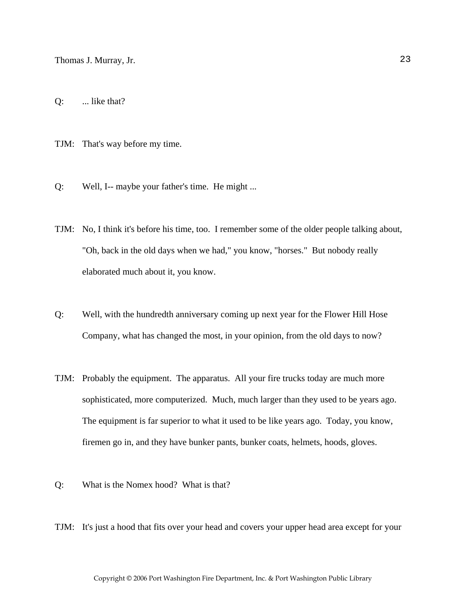Q: ... like that?

TJM: That's way before my time.

- Q: Well, I-- maybe your father's time. He might ...
- TJM: No, I think it's before his time, too. I remember some of the older people talking about, "Oh, back in the old days when we had," you know, "horses." But nobody really elaborated much about it, you know.
- Q: Well, with the hundredth anniversary coming up next year for the Flower Hill Hose Company, what has changed the most, in your opinion, from the old days to now?
- TJM: Probably the equipment. The apparatus. All your fire trucks today are much more sophisticated, more computerized. Much, much larger than they used to be years ago. The equipment is far superior to what it used to be like years ago. Today, you know, firemen go in, and they have bunker pants, bunker coats, helmets, hoods, gloves.
- Q: What is the Nomex hood? What is that?
- TJM: It's just a hood that fits over your head and covers your upper head area except for your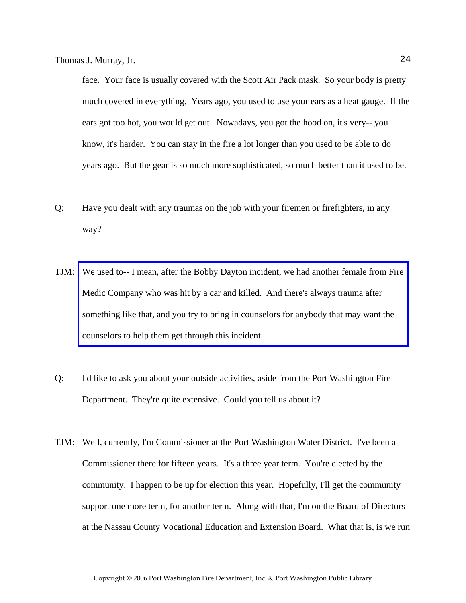face. Your face is usually covered with the Scott Air Pack mask. So your body is pretty much covered in everything. Years ago, you used to use your ears as a heat gauge. If the ears got too hot, you would get out. Nowadays, you got the hood on, it's very-- you know, it's harder. You can stay in the fire a lot longer than you used to be able to do years ago. But the gear is so much more sophisticated, so much better than it used to be.

- Q: Have you dealt with any traumas on the job with your firemen or firefighters, in any way?
- TJM: [We used to-- I mean, after the Bobby Dayton incident, we had another female from Fire](http://www.pwfdhistory.com/trans/murrayt_trans/pnews900222_pz_web.jpg)  Medic Company who was hit by a car and killed. And there's always trauma after something like that, and you try to bring in counselors for anybody that may want the counselors to help them get through this incident.
- Q: I'd like to ask you about your outside activities, aside from the Port Washington Fire Department. They're quite extensive. Could you tell us about it?
- TJM: Well, currently, I'm Commissioner at the Port Washington Water District. I've been a Commissioner there for fifteen years. It's a three year term. You're elected by the community. I happen to be up for election this year. Hopefully, I'll get the community support one more term, for another term. Along with that, I'm on the Board of Directors at the Nassau County Vocational Education and Extension Board. What that is, is we run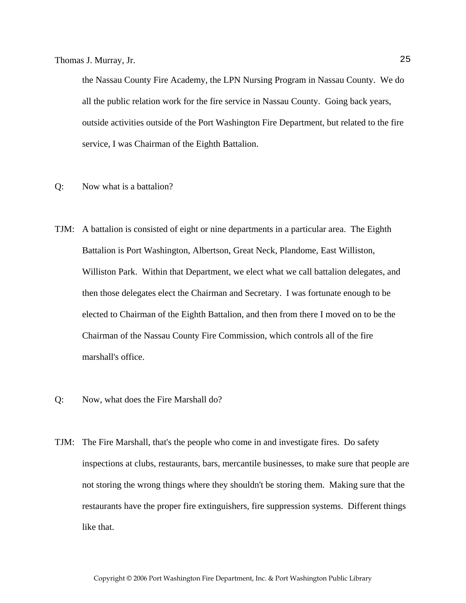the Nassau County Fire Academy, the LPN Nursing Program in Nassau County. We do all the public relation work for the fire service in Nassau County. Going back years, outside activities outside of the Port Washington Fire Department, but related to the fire service, I was Chairman of the Eighth Battalion.

- Q: Now what is a battalion?
- TJM: A battalion is consisted of eight or nine departments in a particular area. The Eighth Battalion is Port Washington, Albertson, Great Neck, Plandome, East Williston, Williston Park. Within that Department, we elect what we call battalion delegates, and then those delegates elect the Chairman and Secretary. I was fortunate enough to be elected to Chairman of the Eighth Battalion, and then from there I moved on to be the Chairman of the Nassau County Fire Commission, which controls all of the fire marshall's office.
- Q: Now, what does the Fire Marshall do?
- TJM: The Fire Marshall, that's the people who come in and investigate fires. Do safety inspections at clubs, restaurants, bars, mercantile businesses, to make sure that people are not storing the wrong things where they shouldn't be storing them. Making sure that the restaurants have the proper fire extinguishers, fire suppression systems. Different things like that.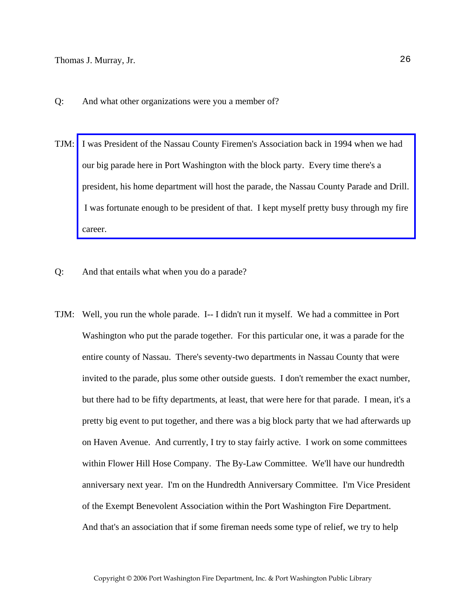- Q: And what other organizations were you a member of?
- TJM: I was President of the Nassau County Firemen's Association back in 1994 when we had our big parade here in Port Washington with the block party. Every time there's a [president, his home department will host the parade, the Nassau County Parade and Drill.](http://www.pwfdhistory.com/trans/murrayt_trans/psent_940708_hw_web.pdf)  I was fortunate enough to be president of that. I kept myself pretty busy through my fire career.
- Q: And that entails what when you do a parade?
- TJM: Well, you run the whole parade. I-- I didn't run it myself. We had a committee in Port Washington who put the parade together. For this particular one, it was a parade for the entire county of Nassau. There's seventy-two departments in Nassau County that were invited to the parade, plus some other outside guests. I don't remember the exact number, but there had to be fifty departments, at least, that were here for that parade. I mean, it's a pretty big event to put together, and there was a big block party that we had afterwards up on Haven Avenue. And currently, I try to stay fairly active. I work on some committees within Flower Hill Hose Company. The By-Law Committee. We'll have our hundredth anniversary next year. I'm on the Hundredth Anniversary Committee. I'm Vice President of the Exempt Benevolent Association within the Port Washington Fire Department. And that's an association that if some fireman needs some type of relief, we try to help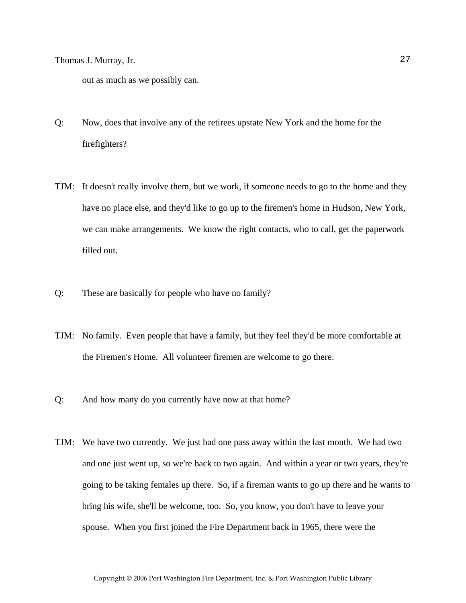out as much as we possibly can.

- Q: Now, does that involve any of the retirees upstate New York and the home for the firefighters?
- TJM: It doesn't really involve them, but we work, if someone needs to go to the home and they have no place else, and they'd like to go up to the firemen's home in Hudson, New York, we can make arrangements. We know the right contacts, who to call, get the paperwork filled out.
- Q: These are basically for people who have no family?
- TJM: No family. Even people that have a family, but they feel they'd be more comfortable at the Firemen's Home. All volunteer firemen are welcome to go there.
- Q: And how many do you currently have now at that home?
- TJM: We have two currently. We just had one pass away within the last month. We had two and one just went up, so we're back to two again. And within a year or two years, they're going to be taking females up there. So, if a fireman wants to go up there and he wants to bring his wife, she'll be welcome, too. So, you know, you don't have to leave your spouse. When you first joined the Fire Department back in 1965, there were the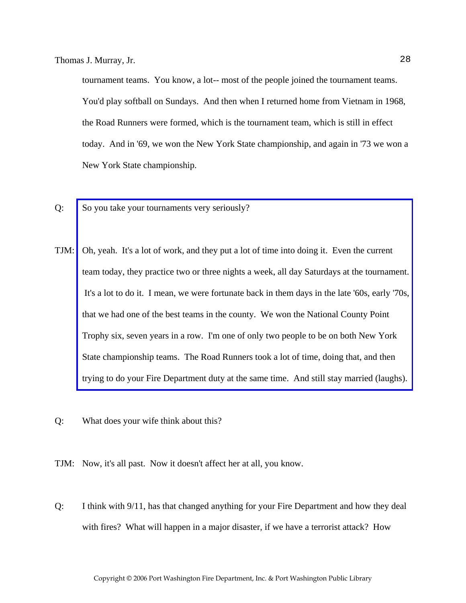tournament teams. You know, a lot-- most of the people joined the tournament teams. You'd play softball on Sundays. And then when I returned home from Vietnam in 1968, the Road Runners were formed, which is the tournament team, which is still in effect today. And in '69, we won the New York State championship, and again in '73 we won a New York State championship.

- Q: So you take your tournaments very seriously?
- TJM: Oh, yeah. It's a lot of work, and they put a lot of time into doing it. Even the current team today, they practice two or three nights a week, all day Saturdays at the tournament.  [It's a lot to do it. I mean, we were fortunate back in them days in the late '60s, early '70s,](http://www.pwfdhistory.com/trans/murrayt_trans/fhh_racing003_web.jpg)  that we had one of the best teams in the county. We won the National County Point Trophy six, seven years in a row. I'm one of only two people to be on both New York State championship teams. The Road Runners took a lot of time, doing that, and then trying to do your Fire Department duty at the same time. And still stay married (laughs).
- Q: What does your wife think about this?

TJM: Now, it's all past. Now it doesn't affect her at all, you know.

Q: I think with 9/11, has that changed anything for your Fire Department and how they deal with fires? What will happen in a major disaster, if we have a terrorist attack? How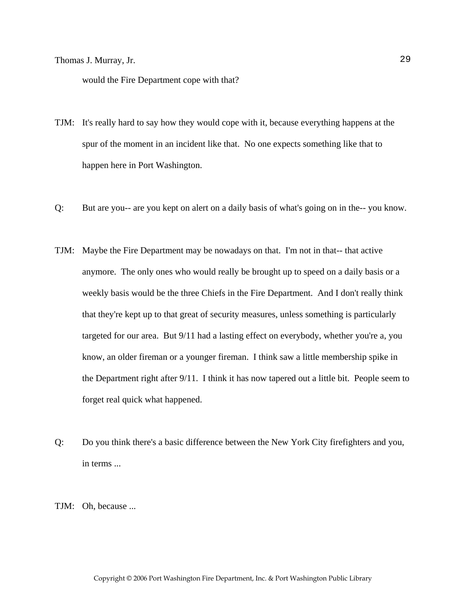would the Fire Department cope with that?

- TJM: It's really hard to say how they would cope with it, because everything happens at the spur of the moment in an incident like that. No one expects something like that to happen here in Port Washington.
- Q: But are you-- are you kept on alert on a daily basis of what's going on in the-- you know.
- TJM: Maybe the Fire Department may be nowadays on that. I'm not in that-- that active anymore. The only ones who would really be brought up to speed on a daily basis or a weekly basis would be the three Chiefs in the Fire Department. And I don't really think that they're kept up to that great of security measures, unless something is particularly targeted for our area. But 9/11 had a lasting effect on everybody, whether you're a, you know, an older fireman or a younger fireman. I think saw a little membership spike in the Department right after 9/11. I think it has now tapered out a little bit. People seem to forget real quick what happened.
- Q: Do you think there's a basic difference between the New York City firefighters and you, in terms ...

TJM: Oh, because ...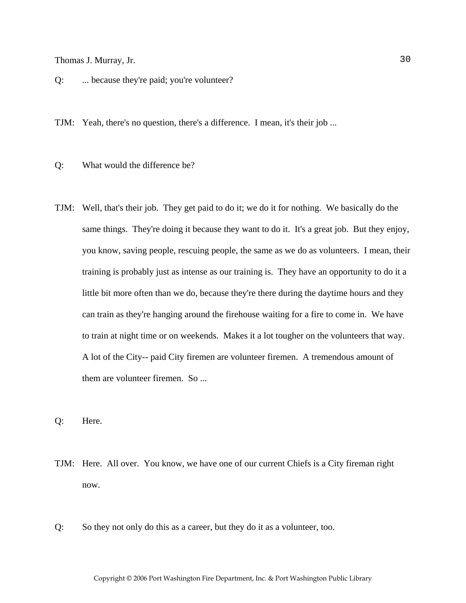Q: ... because they're paid; you're volunteer?

TJM: Yeah, there's no question, there's a difference. I mean, it's their job ...

Q: What would the difference be?

- TJM: Well, that's their job. They get paid to do it; we do it for nothing. We basically do the same things. They're doing it because they want to do it. It's a great job. But they enjoy, you know, saving people, rescuing people, the same as we do as volunteers. I mean, their training is probably just as intense as our training is. They have an opportunity to do it a little bit more often than we do, because they're there during the daytime hours and they can train as they're hanging around the firehouse waiting for a fire to come in. We have to train at night time or on weekends. Makes it a lot tougher on the volunteers that way. A lot of the City-- paid City firemen are volunteer firemen. A tremendous amount of them are volunteer firemen. So ...
- Q: Here.
- TJM: Here. All over. You know, we have one of our current Chiefs is a City fireman right now.
- Q: So they not only do this as a career, but they do it as a volunteer, too.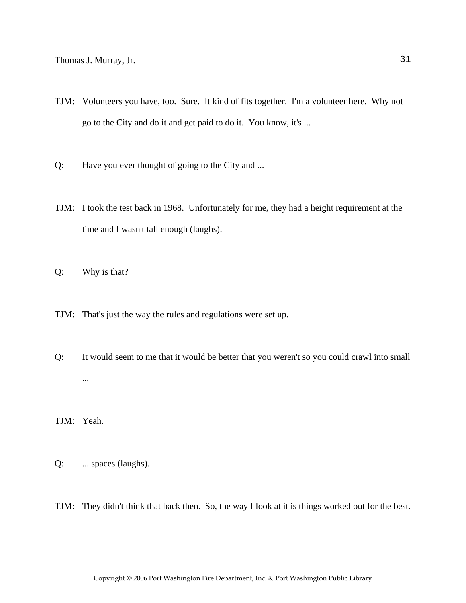- TJM: Volunteers you have, too. Sure. It kind of fits together. I'm a volunteer here. Why not go to the City and do it and get paid to do it. You know, it's ...
- Q: Have you ever thought of going to the City and ...
- TJM: I took the test back in 1968. Unfortunately for me, they had a height requirement at the time and I wasn't tall enough (laughs).
- Q: Why is that?
- TJM: That's just the way the rules and regulations were set up.
- Q: It would seem to me that it would be better that you weren't so you could crawl into small ...

TJM: Yeah.

- Q: ... spaces (laughs).
- TJM: They didn't think that back then. So, the way I look at it is things worked out for the best.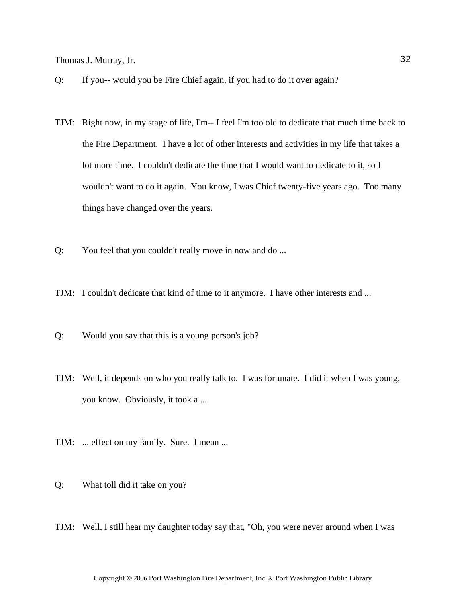- Q: If you-- would you be Fire Chief again, if you had to do it over again?
- TJM: Right now, in my stage of life, I'm-- I feel I'm too old to dedicate that much time back to the Fire Department. I have a lot of other interests and activities in my life that takes a lot more time. I couldn't dedicate the time that I would want to dedicate to it, so I wouldn't want to do it again. You know, I was Chief twenty-five years ago. Too many things have changed over the years.
- Q: You feel that you couldn't really move in now and do ...
- TJM: I couldn't dedicate that kind of time to it anymore. I have other interests and ...
- Q: Would you say that this is a young person's job?
- TJM: Well, it depends on who you really talk to. I was fortunate. I did it when I was young, you know. Obviously, it took a ...
- TJM: ... effect on my family. Sure. I mean ...
- Q: What toll did it take on you?
- TJM: Well, I still hear my daughter today say that, "Oh, you were never around when I was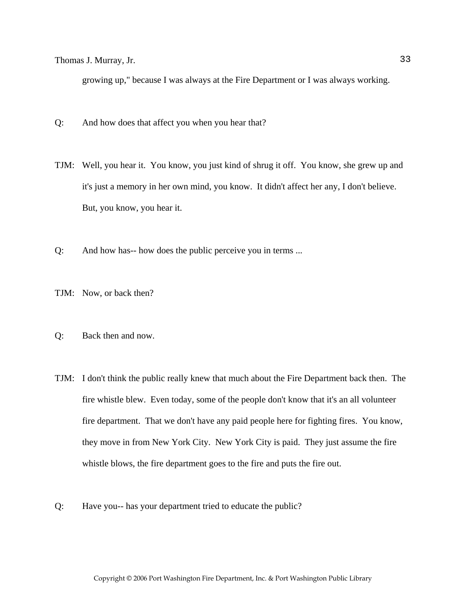growing up," because I was always at the Fire Department or I was always working.

- Q: And how does that affect you when you hear that?
- TJM: Well, you hear it. You know, you just kind of shrug it off. You know, she grew up and it's just a memory in her own mind, you know. It didn't affect her any, I don't believe. But, you know, you hear it.
- Q: And how has-- how does the public perceive you in terms ...
- TJM: Now, or back then?
- Q: Back then and now.
- TJM: I don't think the public really knew that much about the Fire Department back then. The fire whistle blew. Even today, some of the people don't know that it's an all volunteer fire department. That we don't have any paid people here for fighting fires. You know, they move in from New York City. New York City is paid. They just assume the fire whistle blows, the fire department goes to the fire and puts the fire out.
- Q: Have you-- has your department tried to educate the public?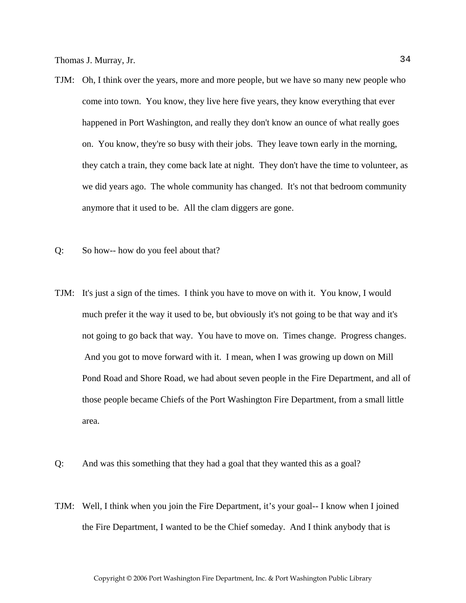- TJM: Oh, I think over the years, more and more people, but we have so many new people who come into town. You know, they live here five years, they know everything that ever happened in Port Washington, and really they don't know an ounce of what really goes on. You know, they're so busy with their jobs. They leave town early in the morning, they catch a train, they come back late at night. They don't have the time to volunteer, as we did years ago. The whole community has changed. It's not that bedroom community anymore that it used to be. All the clam diggers are gone.
- Q: So how-- how do you feel about that?
- TJM: It's just a sign of the times. I think you have to move on with it. You know, I would much prefer it the way it used to be, but obviously it's not going to be that way and it's not going to go back that way. You have to move on. Times change. Progress changes. And you got to move forward with it. I mean, when I was growing up down on Mill Pond Road and Shore Road, we had about seven people in the Fire Department, and all of those people became Chiefs of the Port Washington Fire Department, from a small little area.
- Q: And was this something that they had a goal that they wanted this as a goal?
- TJM: Well, I think when you join the Fire Department, it's your goal-- I know when I joined the Fire Department, I wanted to be the Chief someday. And I think anybody that is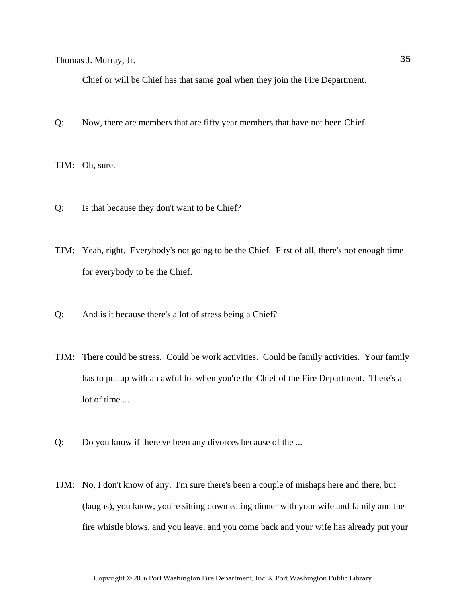Chief or will be Chief has that same goal when they join the Fire Department.

Q: Now, there are members that are fifty year members that have not been Chief.

TJM: Oh, sure.

- Q: Is that because they don't want to be Chief?
- TJM: Yeah, right. Everybody's not going to be the Chief. First of all, there's not enough time for everybody to be the Chief.
- Q: And is it because there's a lot of stress being a Chief?
- TJM: There could be stress. Could be work activities. Could be family activities. Your family has to put up with an awful lot when you're the Chief of the Fire Department. There's a lot of time ...
- Q: Do you know if there've been any divorces because of the ...
- TJM: No, I don't know of any. I'm sure there's been a couple of mishaps here and there, but (laughs), you know, you're sitting down eating dinner with your wife and family and the fire whistle blows, and you leave, and you come back and your wife has already put your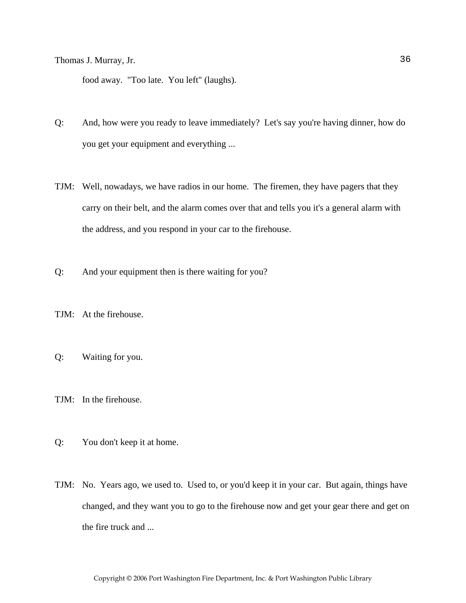food away. "Too late. You left" (laughs).

- Q: And, how were you ready to leave immediately? Let's say you're having dinner, how do you get your equipment and everything ...
- TJM: Well, nowadays, we have radios in our home. The firemen, they have pagers that they carry on their belt, and the alarm comes over that and tells you it's a general alarm with the address, and you respond in your car to the firehouse.
- Q: And your equipment then is there waiting for you?
- TJM: At the firehouse.
- Q: Waiting for you.
- TJM: In the firehouse.
- Q: You don't keep it at home.
- TJM: No. Years ago, we used to. Used to, or you'd keep it in your car. But again, things have changed, and they want you to go to the firehouse now and get your gear there and get on the fire truck and ...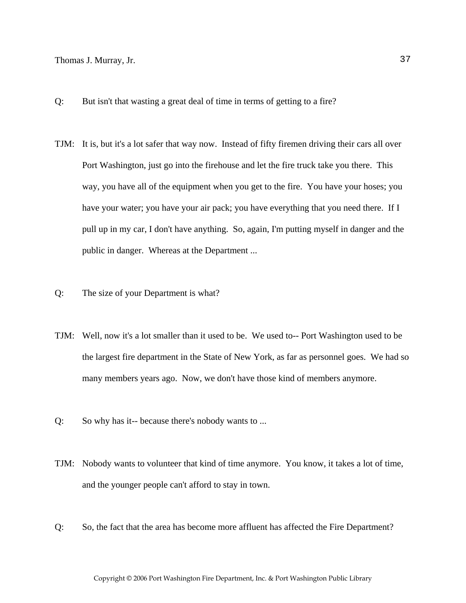- Q: But isn't that wasting a great deal of time in terms of getting to a fire?
- TJM: It is, but it's a lot safer that way now. Instead of fifty firemen driving their cars all over Port Washington, just go into the firehouse and let the fire truck take you there. This way, you have all of the equipment when you get to the fire. You have your hoses; you have your water; you have your air pack; you have everything that you need there. If I pull up in my car, I don't have anything. So, again, I'm putting myself in danger and the public in danger. Whereas at the Department ...
- Q: The size of your Department is what?
- TJM: Well, now it's a lot smaller than it used to be. We used to-- Port Washington used to be the largest fire department in the State of New York, as far as personnel goes. We had so many members years ago. Now, we don't have those kind of members anymore.
- Q: So why has it-- because there's nobody wants to ...
- TJM: Nobody wants to volunteer that kind of time anymore. You know, it takes a lot of time, and the younger people can't afford to stay in town.
- Q: So, the fact that the area has become more affluent has affected the Fire Department?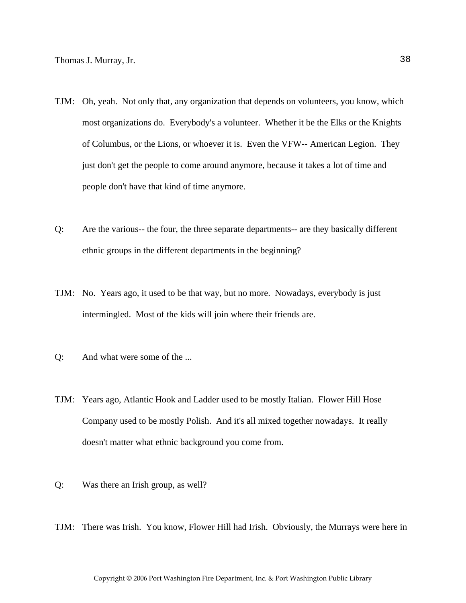- TJM: Oh, yeah. Not only that, any organization that depends on volunteers, you know, which most organizations do. Everybody's a volunteer. Whether it be the Elks or the Knights of Columbus, or the Lions, or whoever it is. Even the VFW-- American Legion. They just don't get the people to come around anymore, because it takes a lot of time and people don't have that kind of time anymore.
- Q: Are the various-- the four, the three separate departments-- are they basically different ethnic groups in the different departments in the beginning?
- TJM: No. Years ago, it used to be that way, but no more. Nowadays, everybody is just intermingled. Most of the kids will join where their friends are.
- Q: And what were some of the ...
- TJM: Years ago, Atlantic Hook and Ladder used to be mostly Italian. Flower Hill Hose Company used to be mostly Polish. And it's all mixed together nowadays. It really doesn't matter what ethnic background you come from.
- Q: Was there an Irish group, as well?
- TJM: There was Irish. You know, Flower Hill had Irish. Obviously, the Murrays were here in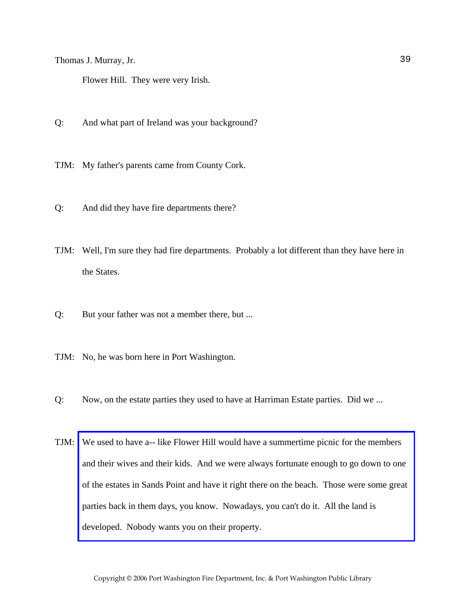Flower Hill. They were very Irish.

- Q: And what part of Ireland was your background?
- TJM: My father's parents came from County Cork.
- Q: And did they have fire departments there?
- TJM: Well, I'm sure they had fire departments. Probably a lot different than they have here in the States.
- Q: But your father was not a member there, but ...
- TJM: No, he was born here in Port Washington.
- Q: Now, on the estate parties they used to have at Harriman Estate parties. Did we ...
- TJM: We used to have a-- like Flower Hill would have a summertime picnic for the members and their wives and their kids. And we were always fortunate enough to go down to one [of the estates in Sands Point and have it right there on the beach. Those were some great](http://www.pwfdhistory.com/trans/murrayt_trans/fhh_picnic001_web.jpg)  parties back in them days, you know. Nowadays, you can't do it. All the land is developed. Nobody wants you on their property.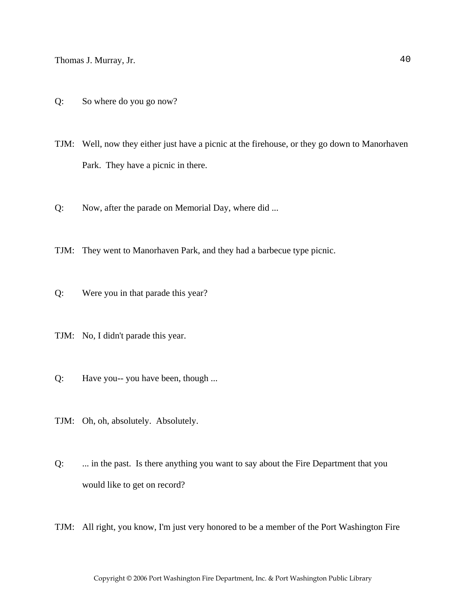Q: So where do you go now?

TJM: Well, now they either just have a picnic at the firehouse, or they go down to Manorhaven Park. They have a picnic in there.

Q: Now, after the parade on Memorial Day, where did ...

TJM: They went to Manorhaven Park, and they had a barbecue type picnic.

- Q: Were you in that parade this year?
- TJM: No, I didn't parade this year.
- Q: Have you-- you have been, though ...
- TJM: Oh, oh, absolutely. Absolutely.
- Q: ... in the past. Is there anything you want to say about the Fire Department that you would like to get on record?
- TJM: All right, you know, I'm just very honored to be a member of the Port Washington Fire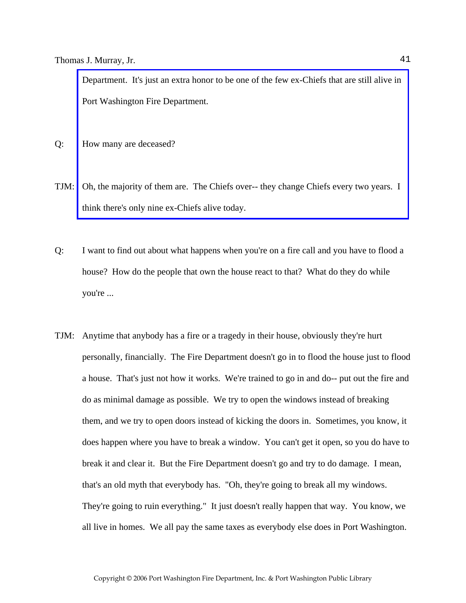Department. It's just an extra honor to be one of the few ex-Chiefs that are still alive in Port Washington Fire Department.

- Q: How many are deceased?
- TJM: [Oh, the majority of them are. The Chiefs over-- they change Chiefs every two years. I](http://www.pwfdhistory.com/trans/murrayt_trans/pwfd_chiefs007_web.jpg)  think there's only nine ex-Chiefs alive today.
- Q: I want to find out about what happens when you're on a fire call and you have to flood a house? How do the people that own the house react to that? What do they do while you're ...
- TJM: Anytime that anybody has a fire or a tragedy in their house, obviously they're hurt personally, financially. The Fire Department doesn't go in to flood the house just to flood a house. That's just not how it works. We're trained to go in and do-- put out the fire and do as minimal damage as possible. We try to open the windows instead of breaking them, and we try to open doors instead of kicking the doors in. Sometimes, you know, it does happen where you have to break a window. You can't get it open, so you do have to break it and clear it. But the Fire Department doesn't go and try to do damage. I mean, that's an old myth that everybody has. "Oh, they're going to break all my windows. They're going to ruin everything." It just doesn't really happen that way. You know, we all live in homes. We all pay the same taxes as everybody else does in Port Washington.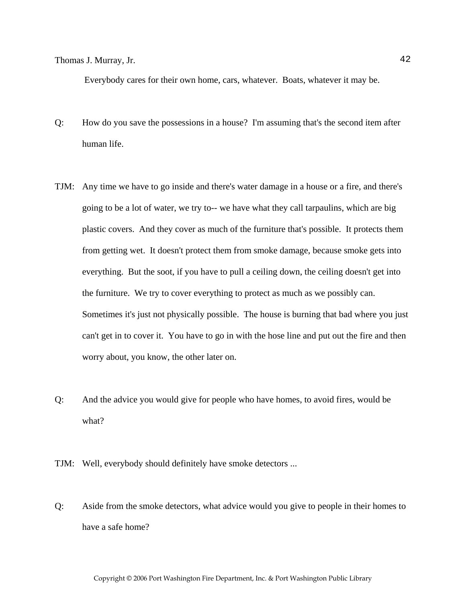Everybody cares for their own home, cars, whatever. Boats, whatever it may be.

- Q: How do you save the possessions in a house? I'm assuming that's the second item after human life.
- TJM: Any time we have to go inside and there's water damage in a house or a fire, and there's going to be a lot of water, we try to-- we have what they call tarpaulins, which are big plastic covers. And they cover as much of the furniture that's possible. It protects them from getting wet. It doesn't protect them from smoke damage, because smoke gets into everything. But the soot, if you have to pull a ceiling down, the ceiling doesn't get into the furniture. We try to cover everything to protect as much as we possibly can. Sometimes it's just not physically possible. The house is burning that bad where you just can't get in to cover it. You have to go in with the hose line and put out the fire and then worry about, you know, the other later on.
- Q: And the advice you would give for people who have homes, to avoid fires, would be what?
- TJM: Well, everybody should definitely have smoke detectors ...
- Q: Aside from the smoke detectors, what advice would you give to people in their homes to have a safe home?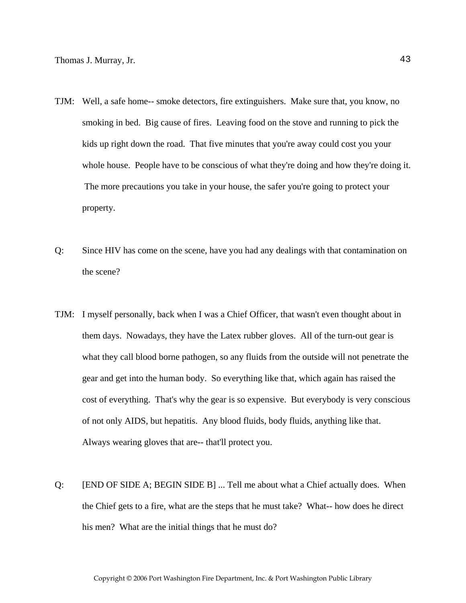- TJM: Well, a safe home-- smoke detectors, fire extinguishers. Make sure that, you know, no smoking in bed. Big cause of fires. Leaving food on the stove and running to pick the kids up right down the road. That five minutes that you're away could cost you your whole house. People have to be conscious of what they're doing and how they're doing it. The more precautions you take in your house, the safer you're going to protect your property.
- Q: Since HIV has come on the scene, have you had any dealings with that contamination on the scene?
- TJM: I myself personally, back when I was a Chief Officer, that wasn't even thought about in them days. Nowadays, they have the Latex rubber gloves. All of the turn-out gear is what they call blood borne pathogen, so any fluids from the outside will not penetrate the gear and get into the human body. So everything like that, which again has raised the cost of everything. That's why the gear is so expensive. But everybody is very conscious of not only AIDS, but hepatitis. Any blood fluids, body fluids, anything like that. Always wearing gloves that are-- that'll protect you.
- Q: [END OF SIDE A; BEGIN SIDE B] ... Tell me about what a Chief actually does. When the Chief gets to a fire, what are the steps that he must take? What-- how does he direct his men? What are the initial things that he must do?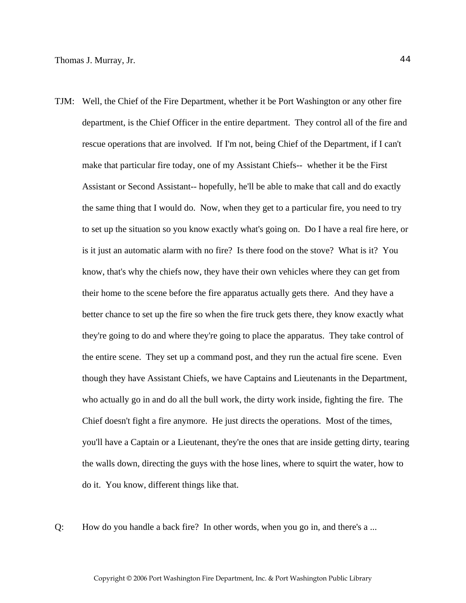- TJM: Well, the Chief of the Fire Department, whether it be Port Washington or any other fire department, is the Chief Officer in the entire department. They control all of the fire and rescue operations that are involved. If I'm not, being Chief of the Department, if I can't make that particular fire today, one of my Assistant Chiefs-- whether it be the First Assistant or Second Assistant-- hopefully, he'll be able to make that call and do exactly the same thing that I would do. Now, when they get to a particular fire, you need to try to set up the situation so you know exactly what's going on. Do I have a real fire here, or is it just an automatic alarm with no fire? Is there food on the stove? What is it? You know, that's why the chiefs now, they have their own vehicles where they can get from their home to the scene before the fire apparatus actually gets there. And they have a better chance to set up the fire so when the fire truck gets there, they know exactly what they're going to do and where they're going to place the apparatus. They take control of the entire scene. They set up a command post, and they run the actual fire scene. Even though they have Assistant Chiefs, we have Captains and Lieutenants in the Department, who actually go in and do all the bull work, the dirty work inside, fighting the fire. The Chief doesn't fight a fire anymore. He just directs the operations. Most of the times, you'll have a Captain or a Lieutenant, they're the ones that are inside getting dirty, tearing the walls down, directing the guys with the hose lines, where to squirt the water, how to do it. You know, different things like that.
- Q: How do you handle a back fire? In other words, when you go in, and there's a ...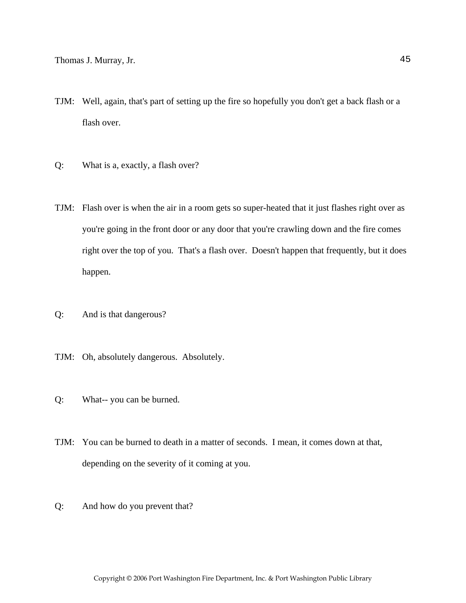- TJM: Well, again, that's part of setting up the fire so hopefully you don't get a back flash or a flash over.
- Q: What is a, exactly, a flash over?
- TJM: Flash over is when the air in a room gets so super-heated that it just flashes right over as you're going in the front door or any door that you're crawling down and the fire comes right over the top of you. That's a flash over. Doesn't happen that frequently, but it does happen.
- Q: And is that dangerous?
- TJM: Oh, absolutely dangerous. Absolutely.
- Q: What-- you can be burned.
- TJM: You can be burned to death in a matter of seconds. I mean, it comes down at that, depending on the severity of it coming at you.
- Q: And how do you prevent that?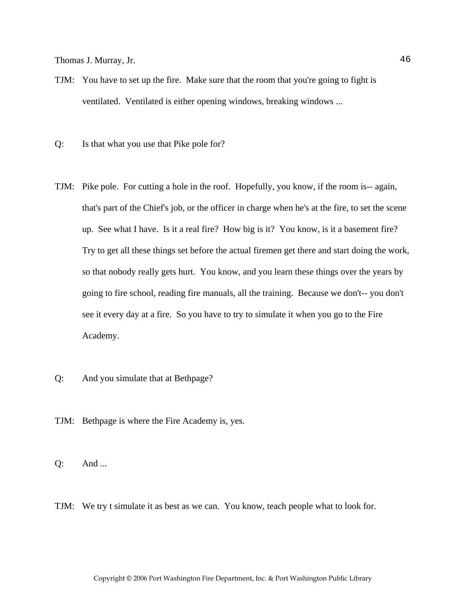- TJM: You have to set up the fire. Make sure that the room that you're going to fight is ventilated. Ventilated is either opening windows, breaking windows ...
- Q: Is that what you use that Pike pole for?
- TJM: Pike pole. For cutting a hole in the roof. Hopefully, you know, if the room is-- again, that's part of the Chief's job, or the officer in charge when he's at the fire, to set the scene up. See what I have. Is it a real fire? How big is it? You know, is it a basement fire? Try to get all these things set before the actual firemen get there and start doing the work, so that nobody really gets hurt. You know, and you learn these things over the years by going to fire school, reading fire manuals, all the training. Because we don't-- you don't see it every day at a fire. So you have to try to simulate it when you go to the Fire Academy.
- Q: And you simulate that at Bethpage?
- TJM: Bethpage is where the Fire Academy is, yes.

Q: And ...

TJM: We try t simulate it as best as we can. You know, teach people what to look for.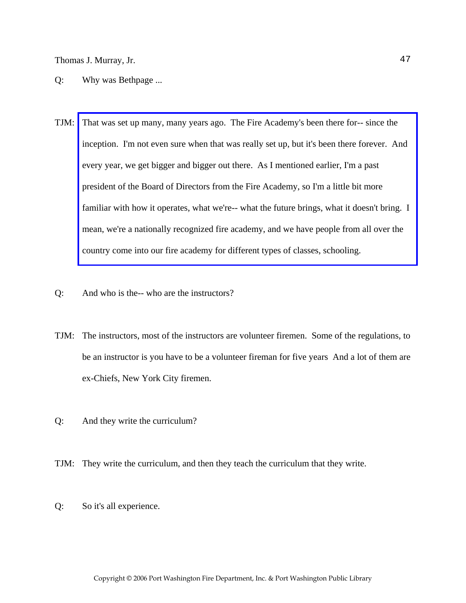- Q: Why was Bethpage ...
- TJM: That was set up many, many years ago. The Fire Academy's been there for-- since the inception. I'm not even sure when that was really set up, but it's been there forever. And every year, we get bigger and bigger out there. As I mentioned earlier, I'm a past president of the Board of Directors from the Fire Academy, so I'm a little bit more familiar with how it operates, what we're-- what the future brings, what it doesn't bring. I mean, we're a nationally recognized fire academy, and we have people from all over the country come into our fire academy for different types of classes, schooling.
- Q: And who is the-- who are the instructors?
- TJM: The instructors, most of the instructors are volunteer firemen. Some of the regulations, to be an instructor is you have to be a volunteer fireman for five years And a lot of them are ex-Chiefs, New York City firemen.
- Q: And they write the curriculum?
- TJM: They write the curriculum, and then they teach the curriculum that they write.
- Q: So it's all experience.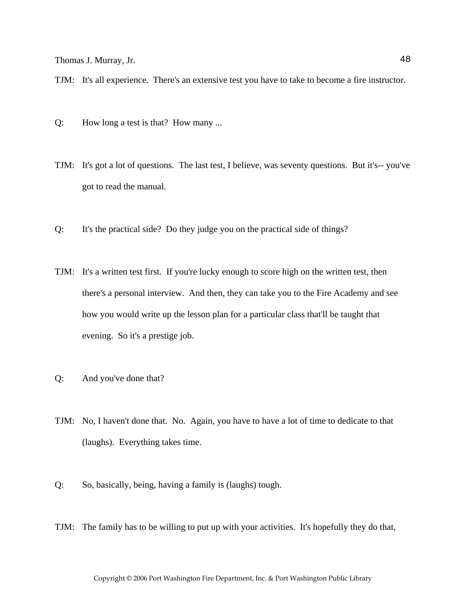TJM: It's all experience. There's an extensive test you have to take to become a fire instructor.

- Q: How long a test is that? How many ...
- TJM: It's got a lot of questions. The last test, I believe, was seventy questions. But it's-- you've got to read the manual.
- Q: It's the practical side? Do they judge you on the practical side of things?
- TJM: It's a written test first. If you're lucky enough to score high on the written test, then there's a personal interview. And then, they can take you to the Fire Academy and see how you would write up the lesson plan for a particular class that'll be taught that evening. So it's a prestige job.
- Q: And you've done that?
- TJM: No, I haven't done that. No. Again, you have to have a lot of time to dedicate to that (laughs). Everything takes time.
- Q: So, basically, being, having a family is (laughs) tough.
- TJM: The family has to be willing to put up with your activities. It's hopefully they do that,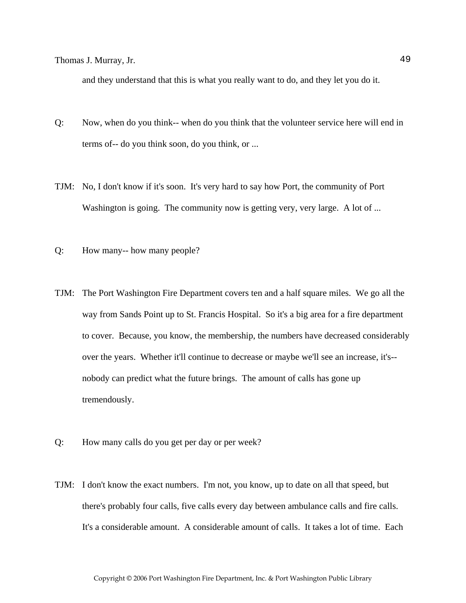and they understand that this is what you really want to do, and they let you do it.

- Q: Now, when do you think-- when do you think that the volunteer service here will end in terms of-- do you think soon, do you think, or ...
- TJM: No, I don't know if it's soon. It's very hard to say how Port, the community of Port Washington is going. The community now is getting very, very large. A lot of ...
- Q: How many-- how many people?
- TJM: The Port Washington Fire Department covers ten and a half square miles. We go all the way from Sands Point up to St. Francis Hospital. So it's a big area for a fire department to cover. Because, you know, the membership, the numbers have decreased considerably over the years. Whether it'll continue to decrease or maybe we'll see an increase, it's- nobody can predict what the future brings. The amount of calls has gone up tremendously.
- Q: How many calls do you get per day or per week?
- TJM: I don't know the exact numbers. I'm not, you know, up to date on all that speed, but there's probably four calls, five calls every day between ambulance calls and fire calls. It's a considerable amount. A considerable amount of calls. It takes a lot of time. Each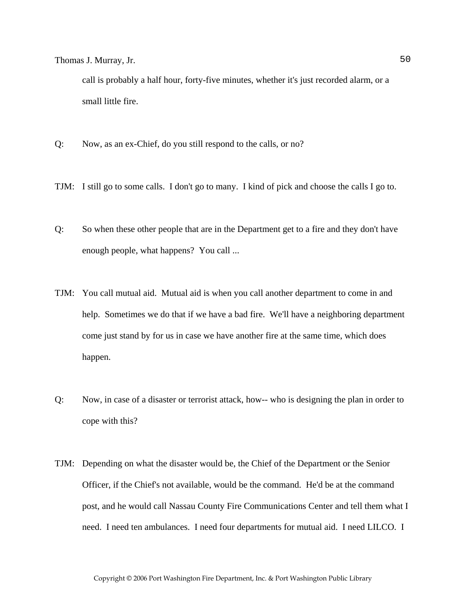call is probably a half hour, forty-five minutes, whether it's just recorded alarm, or a small little fire.

- Q: Now, as an ex-Chief, do you still respond to the calls, or no?
- TJM: I still go to some calls. I don't go to many. I kind of pick and choose the calls I go to.
- Q: So when these other people that are in the Department get to a fire and they don't have enough people, what happens? You call ...
- TJM: You call mutual aid. Mutual aid is when you call another department to come in and help. Sometimes we do that if we have a bad fire. We'll have a neighboring department come just stand by for us in case we have another fire at the same time, which does happen.
- Q: Now, in case of a disaster or terrorist attack, how-- who is designing the plan in order to cope with this?
- TJM: Depending on what the disaster would be, the Chief of the Department or the Senior Officer, if the Chief's not available, would be the command. He'd be at the command post, and he would call Nassau County Fire Communications Center and tell them what I need. I need ten ambulances. I need four departments for mutual aid. I need LILCO. I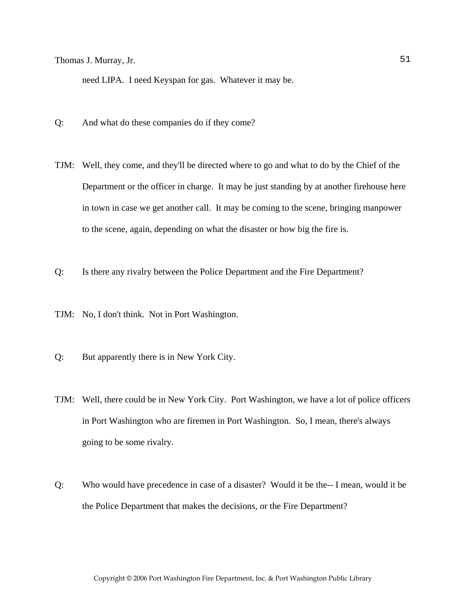need LIPA. I need Keyspan for gas. Whatever it may be.

- Q: And what do these companies do if they come?
- TJM: Well, they come, and they'll be directed where to go and what to do by the Chief of the Department or the officer in charge. It may be just standing by at another firehouse here in town in case we get another call. It may be coming to the scene, bringing manpower to the scene, again, depending on what the disaster or how big the fire is.
- Q: Is there any rivalry between the Police Department and the Fire Department?
- TJM: No, I don't think. Not in Port Washington.
- Q: But apparently there is in New York City.
- TJM: Well, there could be in New York City. Port Washington, we have a lot of police officers in Port Washington who are firemen in Port Washington. So, I mean, there's always going to be some rivalry.
- Q: Who would have precedence in case of a disaster? Would it be the-- I mean, would it be the Police Department that makes the decisions, or the Fire Department?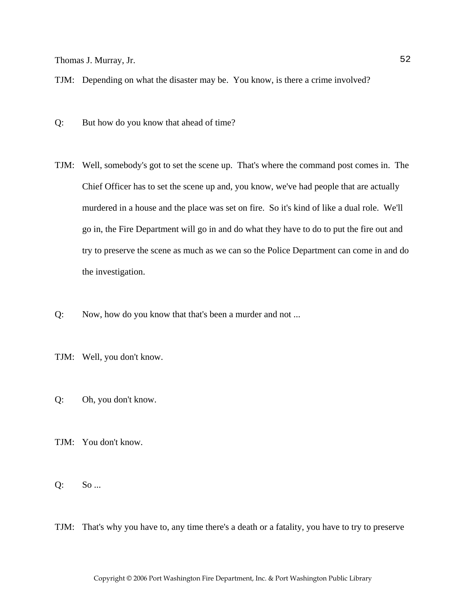TJM: Depending on what the disaster may be. You know, is there a crime involved?

- Q: But how do you know that ahead of time?
- TJM: Well, somebody's got to set the scene up. That's where the command post comes in. The Chief Officer has to set the scene up and, you know, we've had people that are actually murdered in a house and the place was set on fire. So it's kind of like a dual role. We'll go in, the Fire Department will go in and do what they have to do to put the fire out and try to preserve the scene as much as we can so the Police Department can come in and do the investigation.
- Q: Now, how do you know that that's been a murder and not ...
- TJM: Well, you don't know.
- Q: Oh, you don't know.
- TJM: You don't know.
- Q: So ...
- TJM: That's why you have to, any time there's a death or a fatality, you have to try to preserve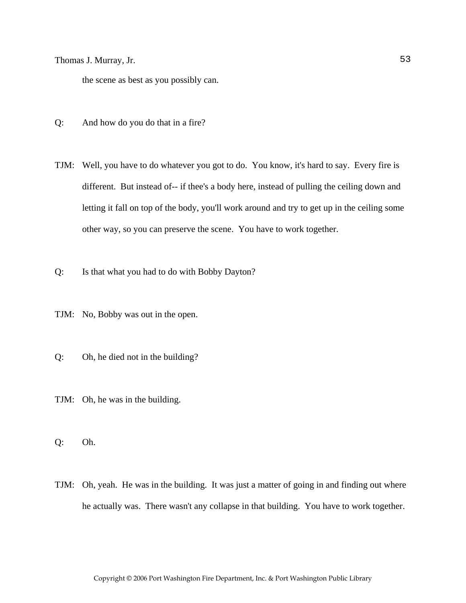the scene as best as you possibly can.

- Q: And how do you do that in a fire?
- TJM: Well, you have to do whatever you got to do. You know, it's hard to say. Every fire is different. But instead of-- if thee's a body here, instead of pulling the ceiling down and letting it fall on top of the body, you'll work around and try to get up in the ceiling some other way, so you can preserve the scene. You have to work together.
- Q: Is that what you had to do with Bobby Dayton?
- TJM: No, Bobby was out in the open.
- Q: Oh, he died not in the building?
- TJM: Oh, he was in the building.
- Q: Oh.
- TJM: Oh, yeah. He was in the building. It was just a matter of going in and finding out where he actually was. There wasn't any collapse in that building. You have to work together.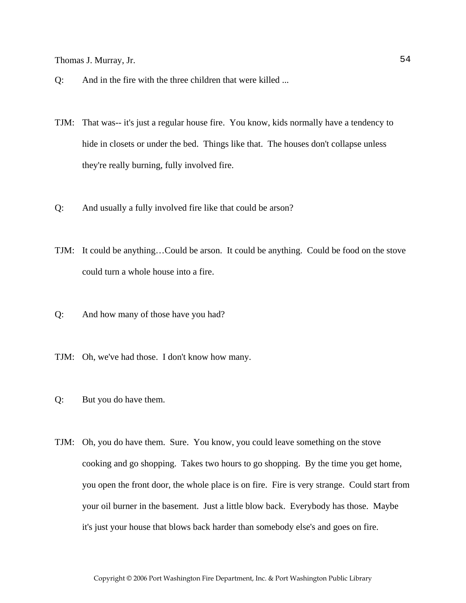- Q: And in the fire with the three children that were killed ...
- TJM: That was-- it's just a regular house fire. You know, kids normally have a tendency to hide in closets or under the bed. Things like that. The houses don't collapse unless they're really burning, fully involved fire.
- Q: And usually a fully involved fire like that could be arson?
- TJM: It could be anything…Could be arson. It could be anything. Could be food on the stove could turn a whole house into a fire.
- Q: And how many of those have you had?
- TJM: Oh, we've had those. I don't know how many.
- Q: But you do have them.
- TJM: Oh, you do have them. Sure. You know, you could leave something on the stove cooking and go shopping. Takes two hours to go shopping. By the time you get home, you open the front door, the whole place is on fire. Fire is very strange. Could start from your oil burner in the basement. Just a little blow back. Everybody has those. Maybe it's just your house that blows back harder than somebody else's and goes on fire.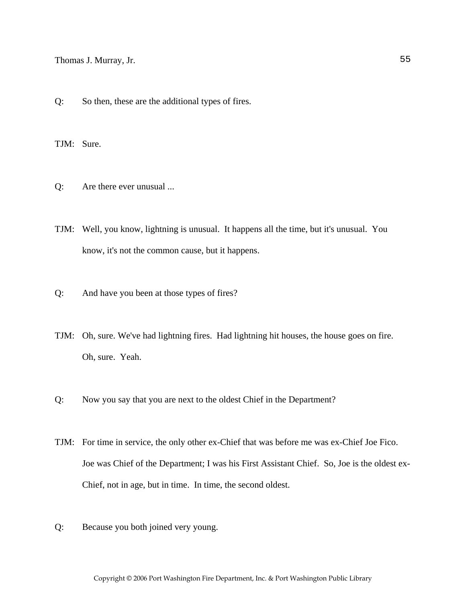Q: So then, these are the additional types of fires.

TJM: Sure.

- Q: Are there ever unusual ...
- TJM: Well, you know, lightning is unusual. It happens all the time, but it's unusual. You know, it's not the common cause, but it happens.
- Q: And have you been at those types of fires?
- TJM: Oh, sure. We've had lightning fires. Had lightning hit houses, the house goes on fire. Oh, sure. Yeah.
- Q: Now you say that you are next to the oldest Chief in the Department?
- TJM: For time in service, the only other ex-Chief that was before me was ex-Chief Joe Fico. Joe was Chief of the Department; I was his First Assistant Chief. So, Joe is the oldest ex-Chief, not in age, but in time. In time, the second oldest.
- Q: Because you both joined very young.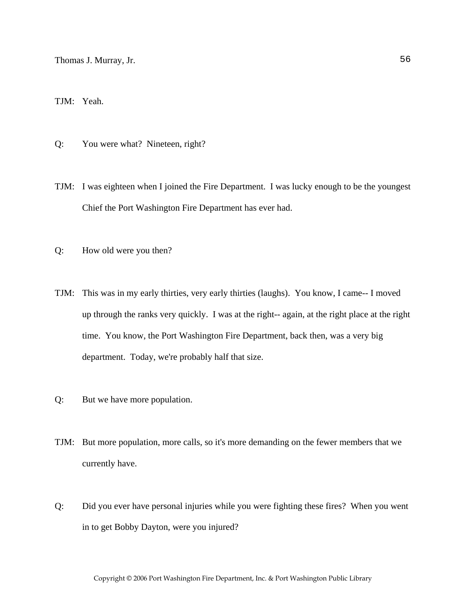TJM: Yeah.

- Q: You were what? Nineteen, right?
- TJM: I was eighteen when I joined the Fire Department. I was lucky enough to be the youngest Chief the Port Washington Fire Department has ever had.
- Q: How old were you then?
- TJM: This was in my early thirties, very early thirties (laughs). You know, I came-- I moved up through the ranks very quickly. I was at the right-- again, at the right place at the right time. You know, the Port Washington Fire Department, back then, was a very big department. Today, we're probably half that size.
- Q: But we have more population.
- TJM: But more population, more calls, so it's more demanding on the fewer members that we currently have.
- Q: Did you ever have personal injuries while you were fighting these fires? When you went in to get Bobby Dayton, were you injured?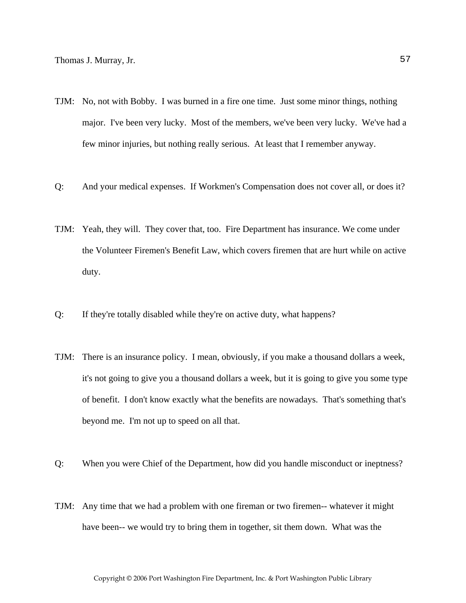- TJM: No, not with Bobby. I was burned in a fire one time. Just some minor things, nothing major. I've been very lucky. Most of the members, we've been very lucky. We've had a few minor injuries, but nothing really serious. At least that I remember anyway.
- Q: And your medical expenses. If Workmen's Compensation does not cover all, or does it?
- TJM: Yeah, they will. They cover that, too. Fire Department has insurance. We come under the Volunteer Firemen's Benefit Law, which covers firemen that are hurt while on active duty.
- Q: If they're totally disabled while they're on active duty, what happens?
- TJM: There is an insurance policy. I mean, obviously, if you make a thousand dollars a week, it's not going to give you a thousand dollars a week, but it is going to give you some type of benefit. I don't know exactly what the benefits are nowadays. That's something that's beyond me. I'm not up to speed on all that.
- Q: When you were Chief of the Department, how did you handle misconduct or ineptness?
- TJM: Any time that we had a problem with one fireman or two firemen-- whatever it might have been-- we would try to bring them in together, sit them down. What was the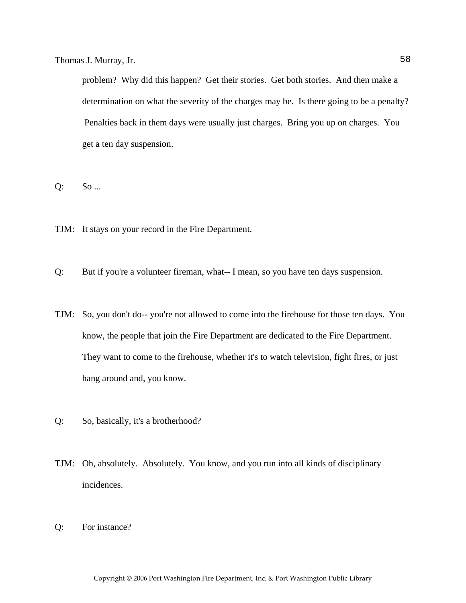problem? Why did this happen? Get their stories. Get both stories. And then make a determination on what the severity of the charges may be. Is there going to be a penalty? Penalties back in them days were usually just charges. Bring you up on charges. You get a ten day suspension.

Q: So ...

TJM: It stays on your record in the Fire Department.

Q: But if you're a volunteer fireman, what-- I mean, so you have ten days suspension.

- TJM: So, you don't do-- you're not allowed to come into the firehouse for those ten days. You know, the people that join the Fire Department are dedicated to the Fire Department. They want to come to the firehouse, whether it's to watch television, fight fires, or just hang around and, you know.
- Q: So, basically, it's a brotherhood?
- TJM: Oh, absolutely. Absolutely. You know, and you run into all kinds of disciplinary incidences.
- Q: For instance?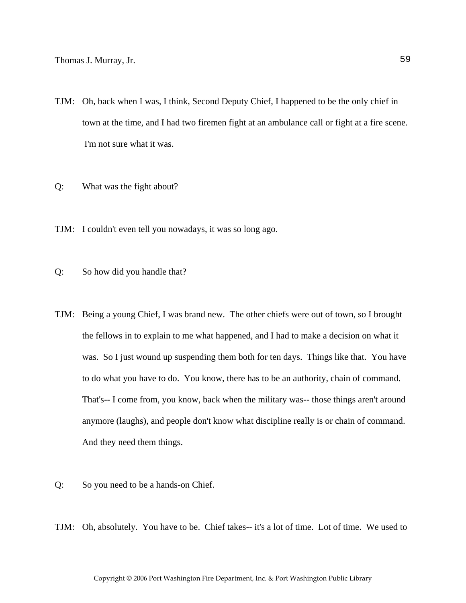- TJM: Oh, back when I was, I think, Second Deputy Chief, I happened to be the only chief in town at the time, and I had two firemen fight at an ambulance call or fight at a fire scene. I'm not sure what it was.
- Q: What was the fight about?
- TJM: I couldn't even tell you nowadays, it was so long ago.
- Q: So how did you handle that?
- TJM: Being a young Chief, I was brand new. The other chiefs were out of town, so I brought the fellows in to explain to me what happened, and I had to make a decision on what it was. So I just wound up suspending them both for ten days. Things like that. You have to do what you have to do. You know, there has to be an authority, chain of command. That's-- I come from, you know, back when the military was-- those things aren't around anymore (laughs), and people don't know what discipline really is or chain of command. And they need them things.
- Q: So you need to be a hands-on Chief.
- TJM: Oh, absolutely. You have to be. Chief takes-- it's a lot of time. Lot of time. We used to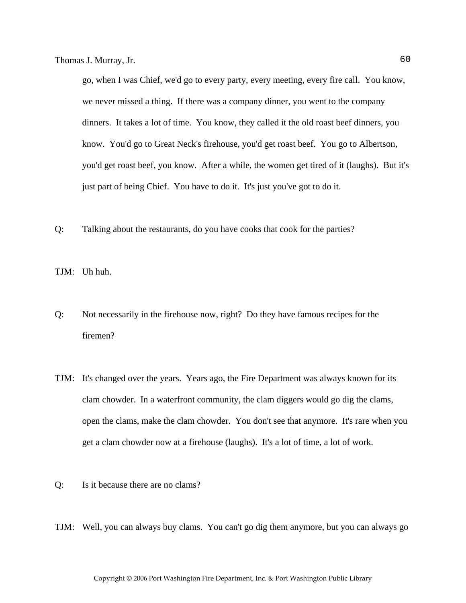go, when I was Chief, we'd go to every party, every meeting, every fire call. You know, we never missed a thing. If there was a company dinner, you went to the company dinners. It takes a lot of time. You know, they called it the old roast beef dinners, you know. You'd go to Great Neck's firehouse, you'd get roast beef. You go to Albertson, you'd get roast beef, you know. After a while, the women get tired of it (laughs). But it's just part of being Chief. You have to do it. It's just you've got to do it.

Q: Talking about the restaurants, do you have cooks that cook for the parties?

TJM: Uh huh.

- Q: Not necessarily in the firehouse now, right? Do they have famous recipes for the firemen?
- TJM: It's changed over the years. Years ago, the Fire Department was always known for its clam chowder. In a waterfront community, the clam diggers would go dig the clams, open the clams, make the clam chowder. You don't see that anymore. It's rare when you get a clam chowder now at a firehouse (laughs). It's a lot of time, a lot of work.
- Q: Is it because there are no clams?
- TJM: Well, you can always buy clams. You can't go dig them anymore, but you can always go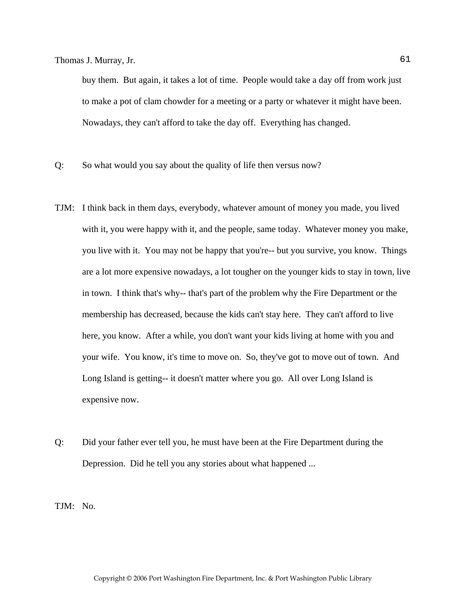buy them. But again, it takes a lot of time. People would take a day off from work just to make a pot of clam chowder for a meeting or a party or whatever it might have been. Nowadays, they can't afford to take the day off. Everything has changed.

- Q: So what would you say about the quality of life then versus now?
- TJM: I think back in them days, everybody, whatever amount of money you made, you lived with it, you were happy with it, and the people, same today. Whatever money you make, you live with it. You may not be happy that you're-- but you survive, you know. Things are a lot more expensive nowadays, a lot tougher on the younger kids to stay in town, live in town. I think that's why-- that's part of the problem why the Fire Department or the membership has decreased, because the kids can't stay here. They can't afford to live here, you know. After a while, you don't want your kids living at home with you and your wife. You know, it's time to move on. So, they've got to move out of town. And Long Island is getting-- it doesn't matter where you go. All over Long Island is expensive now.
- Q: Did your father ever tell you, he must have been at the Fire Department during the Depression. Did he tell you any stories about what happened ...

TJM: No.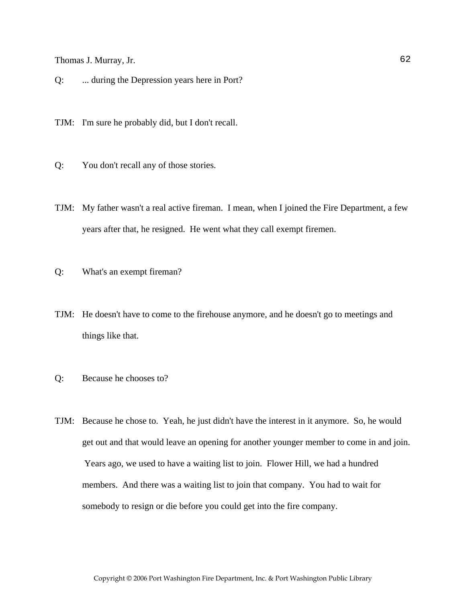Q: ... during the Depression years here in Port?

TJM: I'm sure he probably did, but I don't recall.

- Q: You don't recall any of those stories.
- TJM: My father wasn't a real active fireman. I mean, when I joined the Fire Department, a few years after that, he resigned. He went what they call exempt firemen.
- Q: What's an exempt fireman?
- TJM: He doesn't have to come to the firehouse anymore, and he doesn't go to meetings and things like that.
- Q: Because he chooses to?
- TJM: Because he chose to. Yeah, he just didn't have the interest in it anymore. So, he would get out and that would leave an opening for another younger member to come in and join. Years ago, we used to have a waiting list to join. Flower Hill, we had a hundred members. And there was a waiting list to join that company. You had to wait for somebody to resign or die before you could get into the fire company.